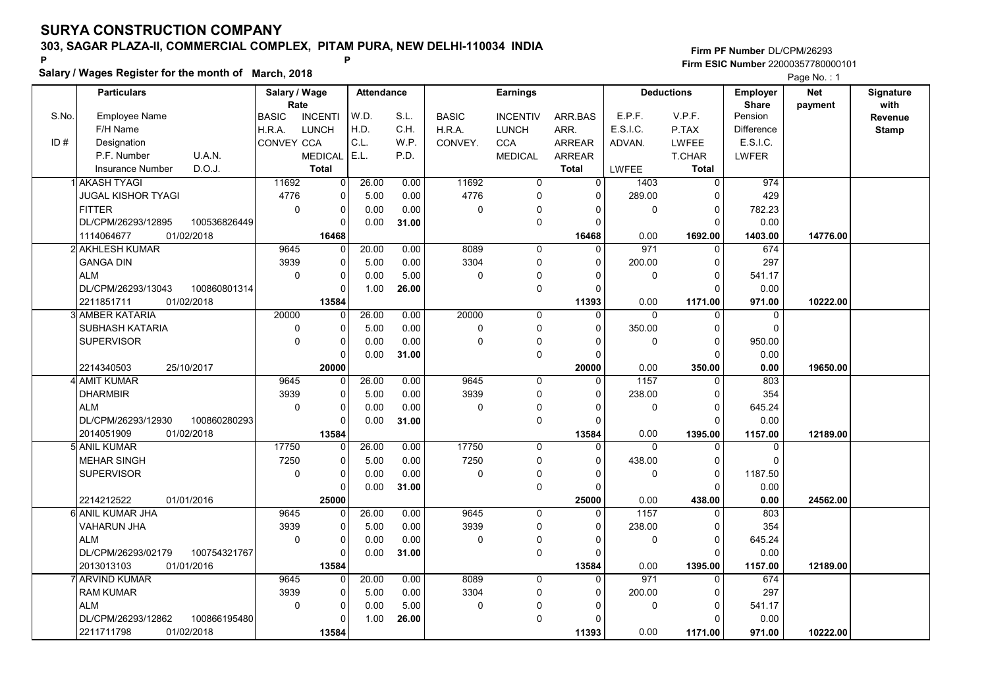Salary / Wages Register for the month of March, 2018

### Firm PF Number DL/CPM/26293 Firm ESIC Number <sup>22000357780000101</sup> P P

|       | <b>Particulars</b>                 | Salary / Wage        |                | <b>Attendance</b> |       |              | <b>Earnings</b> |               |              | <b>Deductions</b> | <b>Employer</b>         | <b>Net</b> | Signature       |
|-------|------------------------------------|----------------------|----------------|-------------------|-------|--------------|-----------------|---------------|--------------|-------------------|-------------------------|------------|-----------------|
| S.No. | <b>Employee Name</b>               | Rate<br><b>BASIC</b> | <b>INCENTI</b> | W.D.              | S.L.  | <b>BASIC</b> | <b>INCENTIV</b> | ARR.BAS       | E.P.F.       | V.P.F.            | <b>Share</b><br>Pension | payment    | with<br>Revenue |
|       | F/H Name                           | H.R.A.               | LUNCH          | H.D.              | C.H.  | H.R.A.       | <b>LUNCH</b>    | ARR.          | E.S.I.C.     | P.TAX             | Difference              |            | <b>Stamp</b>    |
| ID#   | Designation                        | CONVEY CCA           |                | C.L.              | W.P.  | CONVEY.      | <b>CCA</b>      | ARREAR        | ADVAN.       | LWFEE             | E.S.I.C.                |            |                 |
|       | P.F. Number<br>U.A.N.              |                      | <b>MEDICAL</b> | E.L.              | P.D.  |              | <b>MEDICAL</b>  | <b>ARREAR</b> |              | <b>T.CHAR</b>     | <b>LWFER</b>            |            |                 |
|       | D.O.J.<br><b>Insurance Number</b>  |                      | <b>Total</b>   |                   |       |              |                 | <b>Total</b>  | LWFEE        | <b>Total</b>      |                         |            |                 |
|       | 1 AKASH TYAGI                      | 11692                | $\overline{0}$ | 26.00             | 0.00  | 11692        | 0               | 0             | 1403         | 0                 | 974                     |            |                 |
|       | <b>JUGAL KISHOR TYAGI</b>          | 4776                 | 0              | 5.00              | 0.00  | 4776         | $\Omega$        | $\Omega$      | 289.00       | $\mathbf 0$       | 429                     |            |                 |
|       | FITTER                             | $\mathbf 0$          | 0              | 0.00              | 0.00  | $\mathbf 0$  | 0               | $\Omega$      | $\Omega$     | $\Omega$          | 782.23                  |            |                 |
|       | DL/CPM/26293/12895<br>100536826449 |                      | $\Omega$       | 0.00              | 31.00 |              | 0               | $\Omega$      |              | $\Omega$          | 0.00                    |            |                 |
|       | 01/02/2018<br>1114064677           |                      | 16468          |                   |       |              |                 | 16468         | 0.00         | 1692.00           | 1403.00                 | 14776.00   |                 |
|       | 2 AKHLESH KUMAR                    | 9645                 | $\Omega$       | 20.00             | 0.00  | 8089         | 0               | $\Omega$      | 971          | $\mathbf 0$       | 674                     |            |                 |
|       | <b>GANGA DIN</b>                   | 3939                 | 0              | 5.00              | 0.00  | 3304         | 0               | $\Omega$      | 200.00       | $\mathbf 0$       | 297                     |            |                 |
|       | <b>ALM</b>                         | $\mathbf 0$          | 0              | 0.00              | 5.00  | $\mathbf 0$  | 0               | O             | $\mathbf 0$  | $\mathbf 0$       | 541.17                  |            |                 |
|       | DL/CPM/26293/13043<br>100860801314 |                      | 0              | 1.00              | 26.00 |              | 0               | n             |              | $\Omega$          | 0.00                    |            |                 |
|       | 2211851711<br>01/02/2018           |                      | 13584          |                   |       |              |                 | 11393         | 0.00         | 1171.00           | 971.00                  | 10222.00   |                 |
|       | 3 AMBER KATARIA                    | 20000                | $\Omega$       | 26.00             | 0.00  | 20000        | 0               | $\Omega$      | $\mathbf{0}$ | $\Omega$          | 0                       |            |                 |
|       | <b>SUBHASH KATARIA</b>             | $\mathbf 0$          | $\Omega$       | 5.00              | 0.00  | $\pmb{0}$    | 0               | $\Omega$      | 350.00       | $\mathbf 0$       | 0                       |            |                 |
|       | <b>SUPERVISOR</b>                  | $\pmb{0}$            | $\Omega$       | 0.00              | 0.00  | $\Omega$     | 0               | O             | $\Omega$     | $\Omega$          | 950.00                  |            |                 |
|       |                                    |                      | $\Omega$       | 0.00              | 31.00 |              | 0               | $\Omega$      |              | $\Omega$          | 0.00                    |            |                 |
|       | 2214340503<br>25/10/2017           |                      | 20000          |                   |       |              |                 | 20000         | 0.00         | 350.00            | 0.00                    | 19650.00   |                 |
|       | 4 AMIT KUMAR                       | 9645                 | $\overline{0}$ | 26.00             | 0.00  | 9645         | 0               | $\Omega$      | 1157         | $\Omega$          | 803                     |            |                 |
|       | <b>DHARMBIR</b>                    | 3939                 | $\Omega$       | 5.00              | 0.00  | 3939         | $\Omega$        | $\Omega$      | 238.00       | $\Omega$          | 354                     |            |                 |
|       | <b>ALM</b>                         | $\mathbf 0$          | 0              | 0.00              | 0.00  | $\mathbf 0$  | $\mathbf 0$     | $\Omega$      | $\mathbf{0}$ | $\mathbf 0$       | 645.24                  |            |                 |
|       | DL/CPM/26293/12930<br>100860280293 |                      | $\Omega$       | 0.00              | 31.00 |              | 0               |               |              | $\Omega$          | 0.00                    |            |                 |
|       | 01/02/2018<br>2014051909           |                      | 13584          |                   |       |              |                 | 13584         | 0.00         | 1395.00           | 1157.00                 | 12189.00   |                 |
|       | 5 ANIL KUMAR                       | 17750                | $\Omega$       | 26.00             | 0.00  | 17750        | $\Omega$        |               | $\Omega$     | $\Omega$          | 0                       |            |                 |
|       | <b>MEHAR SINGH</b>                 | 7250                 | 0              | 5.00              | 0.00  | 7250         | 0               | $\Omega$      | 438.00       | $\mathbf 0$       | 0                       |            |                 |
|       | <b>SUPERVISOR</b>                  | $\mathbf 0$          | 0              | 0.00              | 0.00  | $\pmb{0}$    | $\mathbf{0}$    | 0             | $\mathbf 0$  | $\pmb{0}$         | 1187.50                 |            |                 |
|       |                                    |                      | $\Omega$       | 0.00              | 31.00 |              | 0               |               |              | $\Omega$          | 0.00                    |            |                 |
|       | 2214212522<br>01/01/2016           |                      | 25000          |                   |       |              |                 | 25000         | 0.00         | 438.00            | 0.00                    | 24562.00   |                 |
|       | 6 ANIL KUMAR JHA                   | 9645                 | $\Omega$       | 26.00             | 0.00  | 9645         | 0               | $\Omega$      | 1157         | $\Omega$          | 803                     |            |                 |
|       | <b>VAHARUN JHA</b>                 | 3939                 | 0              | 5.00              | 0.00  | 3939         | 0               | $\Omega$      | 238.00       | 0                 | 354                     |            |                 |
|       | <b>ALM</b>                         | $\mathbf 0$          | 0              | 0.00              | 0.00  | $\mathbf 0$  | $\Omega$        |               | $\Omega$     | $\mathbf 0$       | 645.24                  |            |                 |
|       | DL/CPM/26293/02179<br>100754321767 |                      | 0              | 0.00              | 31.00 |              | 0               | $\Omega$      |              | $\Omega$          | 0.00                    |            |                 |
|       | 01/01/2016<br>2013013103           |                      | 13584          |                   |       |              |                 | 13584         | 0.00         | 1395.00           | 1157.00                 | 12189.00   |                 |
|       | 7 ARVIND KUMAR                     | 9645                 | $\Omega$       | 20.00             | 0.00  | 8089         | 0               | $\Omega$      | 971          | $\Omega$          | 674                     |            |                 |
|       | <b>RAM KUMAR</b>                   | 3939                 | 0              | 5.00              | 0.00  | 3304         | 0               | $\Omega$      | 200.00       | $\mathbf 0$       | 297                     |            |                 |
|       | <b>ALM</b>                         | $\mathbf 0$          | 0              | 0.00              | 5.00  | $\mathbf 0$  | $\Omega$        |               | $\mathbf 0$  | $\Omega$          | 541.17                  |            |                 |
|       | DL/CPM/26293/12862<br>100866195480 |                      | U              | 1.00              | 26.00 |              | 0               |               |              | $\Omega$          | 0.00                    |            |                 |
|       | 01/02/2018<br>2211711798           |                      | 13584          |                   |       |              |                 | 11393         | 0.00         | 1171.00           | 971.00                  | 10222.00   |                 |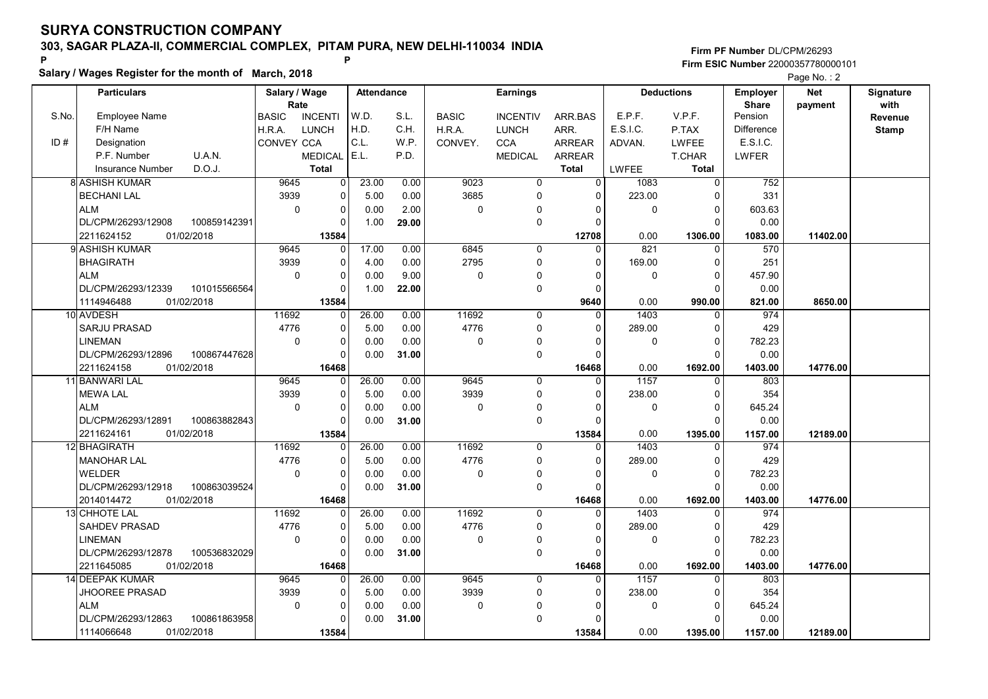Salary / Wages Register for the month of March, 2018

Firm PF Number DL/CPM/26293 Firm ESIC Number <sup>22000357780000101</sup> P P

|       | <b>Particulars</b>                 | Salary / Wage                          | <b>Attendance</b> |       |              | <b>Earnings</b> |               |              | <b>Deductions</b> | Employer                | <b>Net</b> | Signature<br>with |
|-------|------------------------------------|----------------------------------------|-------------------|-------|--------------|-----------------|---------------|--------------|-------------------|-------------------------|------------|-------------------|
| S.No. | <b>Employee Name</b>               | Rate<br><b>INCENTI</b><br><b>BASIC</b> | W.D.              | S.L.  | <b>BASIC</b> | <b>INCENTIV</b> | ARR.BAS       | E.P.F.       | V.P.F.            | <b>Share</b><br>Pension | payment    | Revenue           |
|       | F/H Name                           | H.R.A.<br><b>LUNCH</b>                 | H.D.              | C.H.  | H.R.A.       | <b>LUNCH</b>    | ARR.          | E.S.I.C.     | P.TAX             | <b>Difference</b>       |            | <b>Stamp</b>      |
| ID#   | Designation                        | CONVEY CCA                             | C.L.              | W.P.  | CONVEY.      | <b>CCA</b>      | <b>ARREAR</b> | ADVAN.       | <b>LWFEE</b>      | E.S.I.C.                |            |                   |
|       | U.A.N.<br>P.F. Number              | <b>MEDICAL</b>                         | E.L.              | P.D.  |              | <b>MEDICAL</b>  | <b>ARREAR</b> |              | <b>T.CHAR</b>     | LWFER                   |            |                   |
|       | D.O.J.<br>Insurance Number         | <b>Total</b>                           |                   |       |              |                 | <b>Total</b>  | <b>LWFEE</b> | <b>Total</b>      |                         |            |                   |
|       | <b>8 ASHISH KUMAR</b>              | 9645<br>0                              | 23.00             | 0.00  | 9023         | 0               | $\mathbf 0$   | 1083         | $\mathbf 0$       | 752                     |            |                   |
|       | <b>BECHANI LAL</b>                 | 3939<br>0                              | 5.00              | 0.00  | 3685         | 0               | 0             | 223.00       | $\Omega$          | 331                     |            |                   |
|       | <b>ALM</b>                         | $\mathbf 0$<br>$\Omega$                | 0.00              | 2.00  | $\mathbf 0$  | $\mathbf{0}$    | $\Omega$      | $\mathbf 0$  | $\Omega$          | 603.63                  |            |                   |
|       | DL/CPM/26293/12908<br>100859142391 | $\Omega$                               | 1.00              | 29.00 |              | 0               | $\Omega$      |              | $\Omega$          | 0.00                    |            |                   |
|       | 2211624152<br>01/02/2018           | 13584                                  |                   |       |              |                 | 12708         | 0.00         | 1306.00           | 1083.00                 | 11402.00   |                   |
|       | 9İ ASHISH KUMAR                    | 9645<br>$\Omega$                       | 17.00             | 0.00  | 6845         | $\mathbf 0$     | $\Omega$      | 821          | $\Omega$          | 570                     |            |                   |
|       | <b>BHAGIRATH</b>                   | 3939<br>$\Omega$                       | 4.00              | 0.00  | 2795         | 0               | $\Omega$      | 169.00       | $\mathbf 0$       | 251                     |            |                   |
|       | <b>ALM</b>                         | $\mathbf 0$<br>$\Omega$                | 0.00              | 9.00  | $\mathbf 0$  | $\mathbf{0}$    | $\Omega$      | $\mathbf 0$  | $\Omega$          | 457.90                  |            |                   |
|       | DL/CPM/26293/12339<br>101015566564 | $\Omega$                               | 1.00              | 22.00 |              | 0               | $\Omega$      |              | $\mathbf 0$       | 0.00                    |            |                   |
|       | 01/02/2018<br>1114946488           | 13584                                  |                   |       |              |                 | 9640          | 0.00         | 990.00            | 821.00                  | 8650.00    |                   |
|       | 10 AVDESH                          | 11692<br>$\Omega$                      | 26.00             | 0.00  | 11692        | 0               | $\Omega$      | 1403         | $\mathbf 0$       | 974                     |            |                   |
|       | SARJU PRASAD                       | 4776<br>0                              | 5.00              | 0.00  | 4776         | 0               | $\mathbf{0}$  | 289.00       | $\mathbf 0$       | 429                     |            |                   |
|       | <b>LINEMAN</b>                     | $\mathbf 0$<br>$\Omega$                | 0.00              | 0.00  | $\Omega$     | 0               | $\Omega$      | 0            | $\Omega$          | 782.23                  |            |                   |
|       | DL/CPM/26293/12896<br>100867447628 | $\Omega$                               | 0.00              | 31.00 |              | 0               | $\Omega$      |              | $\Omega$          | 0.00                    |            |                   |
|       | 2211624158<br>01/02/2018           | 16468                                  |                   |       |              |                 | 16468         | 0.00         | 1692.00           | 1403.00                 | 14776.00   |                   |
|       | 11 BANWARI LAL                     | 9645<br>$\Omega$                       | 26.00             | 0.00  | 9645         | 0               | $\Omega$      | 1157         | 0                 | 803                     |            |                   |
|       | <b>MEWA LAL</b>                    | 3939<br>$\Omega$                       | 5.00              | 0.00  | 3939         | 0               | $\Omega$      | 238.00       | $\mathbf 0$       | 354                     |            |                   |
|       | <b>ALM</b>                         | $\mathbf 0$<br>$\Omega$                | 0.00              | 0.00  | $\Omega$     | 0               | $\Omega$      | 0            | $\Omega$          | 645.24                  |            |                   |
|       | DL/CPM/26293/12891<br>100863882843 |                                        | 0.00              | 31.00 |              | 0               | $\Omega$      |              | $\Omega$          | 0.00                    |            |                   |
|       | 2211624161<br>01/02/2018           | 13584                                  |                   |       |              |                 | 13584         | 0.00         | 1395.00           | 1157.00                 | 12189.00   |                   |
|       | 12 BHAGIRATH                       | 11692<br>$\Omega$                      | 26.00             | 0.00  | 11692        | $\mathbf 0$     | $\Omega$      | 1403         | 0                 | 974                     |            |                   |
|       | <b>MANOHAR LAL</b>                 | 4776<br>0                              | 5.00              | 0.00  | 4776         | 0               | $\Omega$      | 289.00       | $\mathbf 0$       | 429                     |            |                   |
|       | <b>WELDER</b>                      | $\mathbf 0$<br>$\Omega$                | 0.00              | 0.00  | $\Omega$     | 0               | $\Omega$      | 0            | $\mathbf 0$       | 782.23                  |            |                   |
|       | 100863039524<br>DL/CPM/26293/12918 | $\Omega$                               | 0.00              | 31.00 |              | 0               | $\Omega$      |              | $\Omega$          | 0.00                    |            |                   |
|       | 2014014472<br>01/02/2018           | 16468                                  |                   |       |              |                 | 16468         | 0.00         | 1692.00           | 1403.00                 | 14776.00   |                   |
|       | 13 CHHOTE LAL                      | 11692<br>$\Omega$                      | 26.00             | 0.00  | 11692        | $\Omega$        | $\Omega$      | 1403         | $\Omega$          | 974                     |            |                   |
|       | <b>SAHDEV PRASAD</b>               | 4776<br>$\Omega$                       | 5.00              | 0.00  | 4776         | 0               | $\Omega$      | 289.00       | $\mathbf 0$       | 429                     |            |                   |
|       | <b>LINEMAN</b>                     | $\mathbf 0$<br>$\Omega$                | 0.00              | 0.00  | $\mathbf 0$  | 0               | $\Omega$      | 0            | $\mathbf 0$       | 782.23                  |            |                   |
|       | 100536832029<br>DL/CPM/26293/12878 | $\Omega$                               | 0.00              | 31.00 |              | $\Omega$        | $\Omega$      |              | $\Omega$          | 0.00                    |            |                   |
|       | 2211645085<br>01/02/2018           | 16468                                  |                   |       |              |                 | 16468         | 0.00         | 1692.00           | 1403.00                 | 14776.00   |                   |
|       | 14 DEEPAK KUMAR                    | 9645<br>$\Omega$                       | 26.00             | 0.00  | 9645         | 0               | $\Omega$      | 1157         | $\mathbf{0}$      | 803                     |            |                   |
|       | <b>JHOOREE PRASAD</b>              | 3939<br>0                              | 5.00              | 0.00  | 3939         | 0               | $\Omega$      | 238.00       | $\Omega$          | 354                     |            |                   |
|       | <b>ALM</b>                         | $\mathbf 0$<br>$\Omega$                | 0.00              | 0.00  | $\mathbf 0$  | $\mathbf{0}$    | $\Omega$      | 0            | $\mathbf 0$       | 645.24                  |            |                   |
|       | 100861863958<br>DL/CPM/26293/12863 |                                        | 0.00              | 31.00 |              | $\Omega$        |               |              | $\Omega$          | 0.00                    |            |                   |
|       | 1114066648<br>01/02/2018           | 13584                                  |                   |       |              |                 | 13584         | 0.00         | 1395.00           | 1157.00                 | 12189.00   |                   |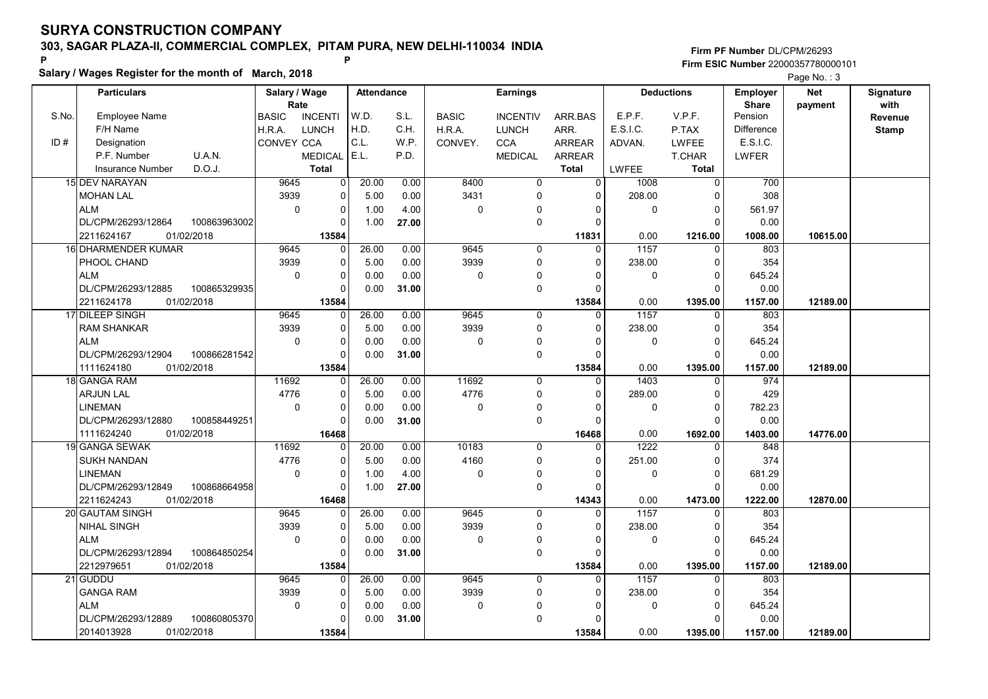Salary / Wages Register for the month of March, 2018

### Firm PF Number DL/CPM/26293 Firm ESIC Number <sup>22000357780000101</sup> P P

|       |                            |              |                       |                |                   |       |              |                 |                |                   |                   |                          | <b>Faye IVO.</b> . J  |                   |
|-------|----------------------------|--------------|-----------------------|----------------|-------------------|-------|--------------|-----------------|----------------|-------------------|-------------------|--------------------------|-----------------------|-------------------|
|       | <b>Particulars</b>         |              | Salary / Wage<br>Rate |                | <b>Attendance</b> |       |              | <b>Earnings</b> |                |                   | <b>Deductions</b> | Employer<br><b>Share</b> | <b>Net</b><br>payment | Signature<br>with |
| S.No. | <b>Employee Name</b>       |              | <b>BASIC</b>          | <b>INCENTI</b> | W.D.              | S.L.  | <b>BASIC</b> | <b>INCENTIV</b> | ARR.BAS        | E.P.F.            | V.P.F.            | Pension                  |                       | Revenue           |
|       | F/H Name                   |              | H.R.A.                | <b>LUNCH</b>   | H.D.              | C.H.  | H.R.A.       | <b>LUNCH</b>    | ARR.           | E.S.I.C.          | P.TAX             | <b>Difference</b>        |                       | <b>Stamp</b>      |
| ID#   | Designation                |              | <b>CONVEY CCA</b>     |                | C.L.              | W.P.  | CONVEY.      | <b>CCA</b>      | <b>ARREAR</b>  | ADVAN.            | <b>LWFEE</b>      | E.S.I.C.                 |                       |                   |
|       | P.F. Number<br>U.A.N.      |              |                       | <b>MEDICAL</b> | E.L.              | P.D.  |              | <b>MEDICAL</b>  | ARREAR         |                   | <b>T.CHAR</b>     | <b>LWFER</b>             |                       |                   |
|       | D.O.J.<br>Insurance Number |              |                       | <b>Total</b>   |                   |       |              |                 | <b>Total</b>   | <b>LWFEE</b>      | <b>Total</b>      |                          |                       |                   |
|       | 15 DEV NARAYAN             |              | 9645                  | $\Omega$       | 20.00             | 0.00  | 8400         | $\mathbf 0$     | $\overline{0}$ | 1008              | $\Omega$          | 700                      |                       |                   |
|       | <b>MOHAN LAL</b>           |              | 3939                  | $\Omega$       | 5.00              | 0.00  | 3431         | $\Omega$        | $\Omega$       | 208.00            | $\Omega$          | 308                      |                       |                   |
|       | <b>ALM</b>                 |              | $\mathbf 0$           | 0              | 1.00              | 4.00  | $\mathbf 0$  | $\mathbf 0$     | $\Omega$       | 0                 | $\Omega$          | 561.97                   |                       |                   |
|       | DL/CPM/26293/12864         | 100863963002 |                       | 0              | 1.00              | 27.00 |              | 0               | $\mathbf 0$    |                   | $\Omega$          | 0.00                     |                       |                   |
|       | 01/02/2018<br>2211624167   |              |                       | 13584          |                   |       |              |                 | 11831          | 0.00              | 1216.00           | 1008.00                  | 10615.00              |                   |
|       | 16 DHARMENDER KUMAR        |              | 9645                  | 0              | 26.00             | 0.00  | 9645         | $\Omega$        | 0              | $\overline{1157}$ | $\Omega$          | 803                      |                       |                   |
|       | PHOOL CHAND                |              | 3939                  | $\mathbf 0$    | 5.00              | 0.00  | 3939         | $\mathbf 0$     | $\Omega$       | 238.00            | $\Omega$          | 354                      |                       |                   |
|       | ALM                        |              | 0                     | $\mathbf 0$    | 0.00              | 0.00  | 0            | $\Omega$        | $\Omega$       | 0                 | $\mathbf 0$       | 645.24                   |                       |                   |
|       | DL/CPM/26293/12885         | 100865329935 |                       | $\Omega$       | 0.00              | 31.00 |              | $\mathbf 0$     | $\Omega$       |                   | $\Omega$          | 0.00                     |                       |                   |
|       | 01/02/2018<br>2211624178   |              |                       | 13584          |                   |       |              |                 | 13584          | 0.00              | 1395.00           | 1157.00                  | 12189.00              |                   |
|       | 17 DILEEP SINGH            |              | 9645                  | $\Omega$       | 26.00             | 0.00  | 9645         | $\Omega$        | $\Omega$       | 1157              | $\Omega$          | 803                      |                       |                   |
|       | RAM SHANKAR                |              | 3939                  | $\mathbf 0$    | 5.00              | 0.00  | 3939         | 0               | $\mathbf{0}$   | 238.00            | 0                 | 354                      |                       |                   |
|       | <b>ALM</b>                 |              | $\mathbf 0$           | $\mathbf 0$    | 0.00              | 0.00  | $\mathbf 0$  | $\mathbf{0}$    | $\Omega$       | $\mathbf 0$       | $\Omega$          | 645.24                   |                       |                   |
|       | DL/CPM/26293/12904         | 100866281542 |                       | $\Omega$       | 0.00              | 31.00 |              | $\mathbf 0$     | $\Omega$       |                   | $\Omega$          | 0.00                     |                       |                   |
|       | 01/02/2018<br>1111624180   |              |                       | 13584          |                   |       |              |                 | 13584          | 0.00              | 1395.00           | 1157.00                  | 12189.00              |                   |
|       | 18 GANGA RAM               |              | 11692                 | $\Omega$       | 26.00             | 0.00  | 11692        | $\mathbf 0$     | $\mathbf{0}$   | 1403              | $\Omega$          | 974                      |                       |                   |
|       | <b>ARJUN LAL</b>           |              | 4776                  | $\mathbf 0$    | 5.00              | 0.00  | 4776         | $\mathbf 0$     | $\Omega$       | 289.00            | $\Omega$          | 429                      |                       |                   |
|       | <b>LINEMAN</b>             |              | $\mathbf 0$           | $\Omega$       | 0.00              | 0.00  | $\mathbf 0$  | $\mathbf 0$     | $\Omega$       | 0                 | $\Omega$          | 782.23                   |                       |                   |
|       | DL/CPM/26293/12880         | 100858449251 |                       | $\Omega$       | 0.00              | 31.00 |              | $\mathbf 0$     | $\Omega$       |                   | $\Omega$          | 0.00                     |                       |                   |
|       | 1111624240<br>01/02/2018   |              |                       | 16468          |                   |       |              |                 | 16468          | 0.00              | 1692.00           | 1403.00                  | 14776.00              |                   |
|       | 19 GANGA SEWAK             |              | 11692                 | $\Omega$       | 20.00             | 0.00  | 10183        | $\Omega$        | $\Omega$       | 1222              | $\Omega$          | 848                      |                       |                   |
|       | <b>SUKH NANDAN</b>         |              | 4776                  | $\Omega$       | 5.00              | 0.00  | 4160         | $\mathbf 0$     | $\Omega$       | 251.00            | $\Omega$          | 374                      |                       |                   |
|       | <b>LINEMAN</b>             |              | $\mathbf 0$           | $\mathbf 0$    | 1.00              | 4.00  | $\pmb{0}$    | $\mathbf 0$     | $\mathbf 0$    | 0                 | $\mathbf 0$       | 681.29                   |                       |                   |
|       | DL/CPM/26293/12849         | 100868664958 |                       | $\mathbf 0$    | 1.00              | 27.00 |              | $\mathbf 0$     | $\Omega$       |                   | $\Omega$          | 0.00                     |                       |                   |
|       | 2211624243<br>01/02/2018   |              |                       | 16468          |                   |       |              |                 | 14343          | 0.00              | 1473.00           | 1222.00                  | 12870.00              |                   |
|       | 20 GAUTAM SINGH            |              | 9645                  | 0              | 26.00             | 0.00  | 9645         | $\mathbf 0$     | $\Omega$       | 1157              | 0                 | 803                      |                       |                   |
|       | <b>NIHAL SINGH</b>         |              | 3939                  | $\mathbf 0$    | 5.00              | 0.00  | 3939         | 0               | $\Omega$       | 238.00            | $\Omega$          | 354                      |                       |                   |
|       | <b>ALM</b>                 |              | $\mathbf 0$           | $\mathbf 0$    | 0.00              | 0.00  | 0            | 0               | 0              | 0                 | $\Omega$          | 645.24                   |                       |                   |
|       | DL/CPM/26293/12894         | 100864850254 |                       | $\Omega$       | 0.00              | 31.00 |              | $\mathbf 0$     | $\Omega$       |                   | $\Omega$          | 0.00                     |                       |                   |
|       | 2212979651<br>01/02/2018   |              |                       | 13584          |                   |       |              |                 | 13584          | 0.00              | 1395.00           | 1157.00                  | 12189.00              |                   |
|       | 21 GUDDU                   |              | 9645                  | 0              | 26.00             | 0.00  | 9645         | 0               | $\mathbf{0}$   | 1157              | 0                 | 803                      |                       |                   |
|       | <b>GANGA RAM</b>           |              | 3939                  | $\mathbf 0$    | 5.00              | 0.00  | 3939         | 0               | 0              | 238.00            | 0                 | 354                      |                       |                   |
|       | <b>ALM</b>                 |              | $\mathbf 0$           | $\mathbf 0$    | 0.00              | 0.00  | $\mathbf 0$  | $\mathbf{0}$    | $\Omega$       | 0                 | $\mathbf 0$       | 645.24                   |                       |                   |
|       | DL/CPM/26293/12889         | 100860805370 |                       | $\Omega$       | 0.00              | 31.00 |              | $\Omega$        | $\Omega$       |                   | $\Omega$          | 0.00                     |                       |                   |
|       | 2014013928<br>01/02/2018   |              |                       | 13584          |                   |       |              |                 | 13584          | 0.00              | 1395.00           | 1157.00                  | 12189.00              |                   |
|       |                            |              |                       |                |                   |       |              |                 |                |                   |                   |                          |                       |                   |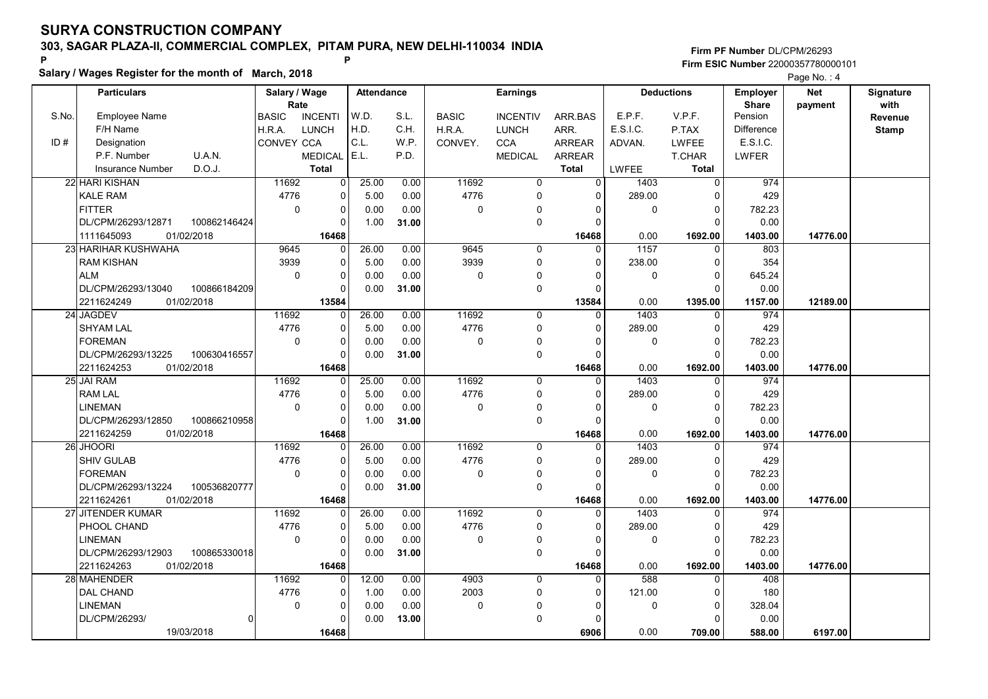Salary / Wages Register for the month of March, 2018

### Firm PF Number DL/CPM/26293 Firm ESIC Number <sup>22000357780000101</sup> P P

|       | <b>Particulars</b>      |              | Salary / Wage        |                                | <b>Attendance</b> |       |              | <b>Earnings</b>            |                       |              | <b>Deductions</b> | <b>Employer</b>         | <b>Net</b> | Signature    |
|-------|-------------------------|--------------|----------------------|--------------------------------|-------------------|-------|--------------|----------------------------|-----------------------|--------------|-------------------|-------------------------|------------|--------------|
| S.No. | <b>Employee Name</b>    |              | Rate                 |                                | W.D.              | S.L.  |              |                            |                       | E.P.F.       | V.P.F.            | <b>Share</b><br>Pension | payment    | with         |
|       | F/H Name                |              | <b>BASIC</b>         | <b>INCENTI</b><br><b>LUNCH</b> | H.D.              | C.H.  | <b>BASIC</b> | <b>INCENTIV</b>            | ARR.BAS               | E.S.I.C.     |                   | Difference              |            | Revenue      |
| ID#   | Designation             |              | H.R.A.<br>CONVEY CCA |                                | C.L.              | W.P.  | H.R.A.       | <b>LUNCH</b><br><b>CCA</b> | ARR.<br><b>ARREAR</b> |              | P.TAX             | E.S.I.C.                |            | <b>Stamp</b> |
|       | P.F. Number             | U.A.N.       |                      |                                | E.L.              | P.D.  | CONVEY.      |                            |                       | ADVAN.       | <b>LWFEE</b>      |                         |            |              |
|       | <b>Insurance Number</b> | D.O.J.       |                      | <b>MEDICAL</b><br><b>Total</b> |                   |       |              | <b>MEDICAL</b>             | <b>ARREAR</b>         |              | <b>T.CHAR</b>     | LWFER                   |            |              |
|       |                         |              |                      |                                |                   |       |              |                            | <b>Total</b>          | <b>LWFEE</b> | Total             |                         |            |              |
|       | 22 HARI KISHAN          |              | 11692                | $\mathbf 0$                    | 25.00             | 0.00  | 11692        | $\mathbf 0$                | $\overline{0}$        | 1403         | 0                 | 974                     |            |              |
|       | <b>KALE RAM</b>         |              | 4776                 | $\mathbf 0$                    | 5.00              | 0.00  | 4776         | $\Omega$                   | $\Omega$              | 289.00       | $\mathbf 0$       | 429                     |            |              |
|       | <b>FITTER</b>           |              | $\mathbf 0$          | $\pmb{0}$                      | 0.00              | 0.00  | 0            | 0                          | $\Omega$              | 0            | $\mathbf 0$       | 782.23                  |            |              |
|       | DL/CPM/26293/12871      | 100862146424 |                      | $\Omega$                       | 1.00              | 31.00 |              | $\Omega$                   | $\Omega$              |              | $\Omega$          | 0.00                    |            |              |
|       | 1111645093              | 01/02/2018   |                      | 16468                          |                   |       |              |                            | 16468                 | 0.00         | 1692.00           | 1403.00                 | 14776.00   |              |
|       | 23 HARIHAR KUSHWAHA     |              | 9645                 | $\mathbf 0$                    | 26.00             | 0.00  | 9645         | 0                          | 0                     | 1157         | 0                 | 803                     |            |              |
|       | <b>RAM KISHAN</b>       |              | 3939                 | $\mathbf 0$                    | 5.00              | 0.00  | 3939         | $\Omega$                   | $\Omega$              | 238.00       | $\mathbf 0$       | 354                     |            |              |
|       | <b>ALM</b>              |              | $\Omega$             | $\mathbf 0$                    | 0.00              | 0.00  | 0            | $\mathbf 0$                | O                     | 0            | $\mathbf 0$       | 645.24                  |            |              |
|       | DL/CPM/26293/13040      | 100866184209 |                      | $\mathbf 0$                    | 0.00              | 31.00 |              | $\mathbf 0$                | $\Omega$              |              | $\mathbf 0$       | 0.00                    |            |              |
|       | 2211624249              | 01/02/2018   |                      | 13584                          |                   |       |              |                            | 13584                 | 0.00         | 1395.00           | 1157.00                 | 12189.00   |              |
|       | 24 JAGDEV               |              | 11692                | $\mathbf 0$                    | 26.00             | 0.00  | 11692        | $\mathbf 0$                | $\Omega$              | 1403         | $\Omega$          | 974                     |            |              |
|       | <b>SHYAM LAL</b>        |              | 4776                 | $\Omega$                       | 5.00              | 0.00  | 4776         | $\Omega$                   | $\Omega$              | 289.00       | $\mathbf{0}$      | 429                     |            |              |
|       | <b>FOREMAN</b>          |              | $\Omega$             | $\Omega$                       | 0.00              | 0.00  | 0            | $\Omega$                   | $\Omega$              | $\Omega$     | $\mathbf 0$       | 782.23                  |            |              |
|       | DL/CPM/26293/13225      | 100630416557 |                      | $\mathbf 0$                    | 0.00              | 31.00 |              | $\mathbf 0$                | $\Omega$              |              | $\Omega$          | 0.00                    |            |              |
|       | 2211624253              | 01/02/2018   |                      | 16468                          |                   |       |              |                            | 16468                 | 0.00         | 1692.00           | 1403.00                 | 14776.00   |              |
|       | 25 JAI RAM              |              | 11692                | $\Omega$                       | 25.00             | 0.00  | 11692        | $\Omega$                   | $\Omega$              | 1403         | $\Omega$          | 974                     |            |              |
|       | <b>RAM LAL</b>          |              | 4776                 | 0                              | 5.00              | 0.00  | 4776         | $\mathbf 0$                | $\Omega$              | 289.00       | $\mathbf 0$       | 429                     |            |              |
|       | <b>LINEMAN</b>          |              | $\Omega$             | $\Omega$                       | 0.00              | 0.00  | 0            | 0                          | n                     | $\mathbf 0$  | $\mathbf 0$       | 782.23                  |            |              |
|       | DL/CPM/26293/12850      | 100866210958 |                      | $\Omega$                       | 1.00              | 31.00 |              | $\mathbf 0$                | $\Omega$              |              | $\Omega$          | 0.00                    |            |              |
|       | 2211624259              | 01/02/2018   |                      | 16468                          |                   |       |              |                            | 16468                 | 0.00         | 1692.00           | 1403.00                 | 14776.00   |              |
|       | 26 JHOORI               |              | 11692                | $\Omega$                       | 26.00             | 0.00  | 11692        | $\Omega$                   | $\Omega$              | 1403         | $\Omega$          | 974                     |            |              |
|       | <b>SHIV GULAB</b>       |              | 4776                 | $\Omega$                       | 5.00              | 0.00  | 4776         | $\mathbf 0$                | $\Omega$              | 289.00       | $\mathbf 0$       | 429                     |            |              |
|       | <b>FOREMAN</b>          |              | $\mathbf 0$          | $\mathbf 0$                    | 0.00              | 0.00  | 0            | 0                          | $\Omega$              | 0            | $\mathbf 0$       | 782.23                  |            |              |
|       | DL/CPM/26293/13224      | 100536820777 |                      | $\Omega$                       | 0.00              | 31.00 |              | $\Omega$                   | $\Omega$              |              | $\Omega$          | 0.00                    |            |              |
|       | 2211624261              | 01/02/2018   |                      | 16468                          |                   |       |              |                            | 16468                 | 0.00         | 1692.00           | 1403.00                 | 14776.00   |              |
|       | 27 JITENDER KUMAR       |              | 11692                | 0                              | 26.00             | 0.00  | 11692        | $\Omega$                   | 0                     | 1403         | $\Omega$          | 974                     |            |              |
|       | PHOOL CHAND             |              | 4776                 | $\mathbf 0$                    | 5.00              | 0.00  | 4776         | $\mathbf 0$                | $\Omega$              | 289.00       | $\mathbf 0$       | 429                     |            |              |
|       | <b>LINEMAN</b>          |              | $\mathbf 0$          | $\pmb{0}$                      | 0.00              | 0.00  | 0            | $\mathbf{0}$               | $\Omega$              | 0            | $\mathbf 0$       | 782.23                  |            |              |
|       | DL/CPM/26293/12903      | 100865330018 |                      | 0                              | 0.00              | 31.00 |              | $\mathbf 0$                | $\Omega$              |              | $\Omega$          | 0.00                    |            |              |
|       | 2211624263              | 01/02/2018   |                      | 16468                          |                   |       |              |                            | 16468                 | 0.00         | 1692.00           | 1403.00                 | 14776.00   |              |
|       | 28 MAHENDER             |              | 11692                | $\Omega$                       | 12.00             | 0.00  | 4903         | $\mathbf 0$                | $\Omega$              | 588          | $\Omega$          | 408                     |            |              |
|       | <b>DAL CHAND</b>        |              | 4776                 | $\mathbf 0$                    | 1.00              | 0.00  | 2003         | 0                          | 0                     | 121.00       | 0                 | 180                     |            |              |
|       | <b>LINEMAN</b>          |              | $\mathbf 0$          | 0                              | 0.00              | 0.00  | 0            | $\Omega$                   | O                     | 0            | $\mathbf 0$       | 328.04                  |            |              |
|       | DL/CPM/26293/           |              |                      | $\Omega$                       | 0.00              | 13.00 |              | $\mathbf 0$                | $\Omega$              |              | $\Omega$          | 0.00                    |            |              |
|       |                         | 19/03/2018   |                      | 16468                          |                   |       |              |                            | 6906                  | 0.00         | 709.00            | 588.00                  | 6197.00    |              |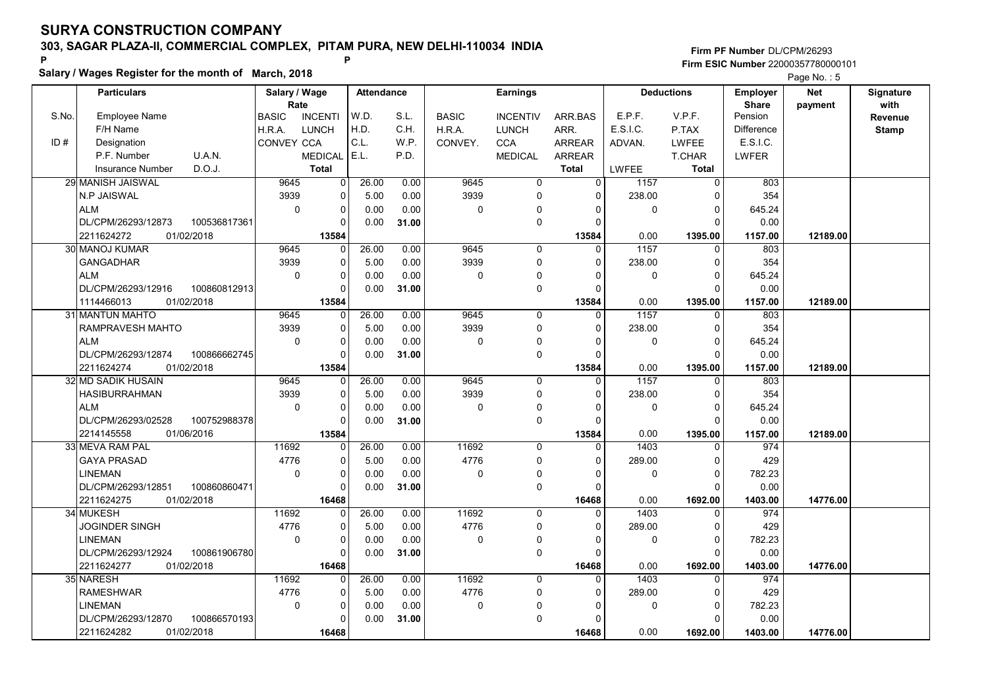Salary / Wages Register for the month of March, 2018

### Firm PF Number DL/CPM/26293 Firm ESIC Number <sup>22000357780000101</sup> P P

|                                   |                                                                                                                                                                         |                                                                                                              |                                                                                                                                                                                                                                                                                                                        |                                                                                                                                                                                                                                                                                                                                                                                  |                                                                                     |                                                                        |                                                                |                                                  |                                                                                  |                                                                                                                          | <b>Faye NO.</b> J                                                                            |                   |
|-----------------------------------|-------------------------------------------------------------------------------------------------------------------------------------------------------------------------|--------------------------------------------------------------------------------------------------------------|------------------------------------------------------------------------------------------------------------------------------------------------------------------------------------------------------------------------------------------------------------------------------------------------------------------------|----------------------------------------------------------------------------------------------------------------------------------------------------------------------------------------------------------------------------------------------------------------------------------------------------------------------------------------------------------------------------------|-------------------------------------------------------------------------------------|------------------------------------------------------------------------|----------------------------------------------------------------|--------------------------------------------------|----------------------------------------------------------------------------------|--------------------------------------------------------------------------------------------------------------------------|----------------------------------------------------------------------------------------------|-------------------|
|                                   |                                                                                                                                                                         |                                                                                                              |                                                                                                                                                                                                                                                                                                                        |                                                                                                                                                                                                                                                                                                                                                                                  |                                                                                     |                                                                        |                                                                |                                                  |                                                                                  | <b>Employer</b><br><b>Share</b>                                                                                          | <b>Net</b><br>payment                                                                        | Signature<br>with |
| <b>Employee Name</b>              | <b>BASIC</b>                                                                                                                                                            | <b>INCENTI</b>                                                                                               | W.D.                                                                                                                                                                                                                                                                                                                   | S.L.                                                                                                                                                                                                                                                                                                                                                                             | <b>BASIC</b>                                                                        | <b>INCENTIV</b>                                                        | ARR.BAS                                                        | E.P.F.                                           | V.P.F.                                                                           | Pension                                                                                                                  |                                                                                              | Revenue           |
| F/H Name                          | H.R.A.                                                                                                                                                                  |                                                                                                              | H.D.                                                                                                                                                                                                                                                                                                                   | C.H.                                                                                                                                                                                                                                                                                                                                                                             | H.R.A.                                                                              | <b>LUNCH</b>                                                           | ARR.                                                           | E.S.I.C.                                         | P.TAX                                                                            | Difference                                                                                                               |                                                                                              | <b>Stamp</b>      |
| Designation                       |                                                                                                                                                                         |                                                                                                              |                                                                                                                                                                                                                                                                                                                        | W.P.                                                                                                                                                                                                                                                                                                                                                                             |                                                                                     |                                                                        |                                                                |                                                  |                                                                                  |                                                                                                                          |                                                                                              |                   |
| P.F. Number                       |                                                                                                                                                                         |                                                                                                              |                                                                                                                                                                                                                                                                                                                        |                                                                                                                                                                                                                                                                                                                                                                                  |                                                                                     |                                                                        |                                                                |                                                  |                                                                                  |                                                                                                                          |                                                                                              |                   |
| D.O.J.<br><b>Insurance Number</b> |                                                                                                                                                                         |                                                                                                              |                                                                                                                                                                                                                                                                                                                        |                                                                                                                                                                                                                                                                                                                                                                                  |                                                                                     |                                                                        |                                                                | <b>LWFEE</b>                                     |                                                                                  |                                                                                                                          |                                                                                              |                   |
| 29 MANISH JAISWAL                 |                                                                                                                                                                         |                                                                                                              | 26.00                                                                                                                                                                                                                                                                                                                  | 0.00                                                                                                                                                                                                                                                                                                                                                                             | 9645                                                                                | $\overline{0}$                                                         | $\Omega$                                                       |                                                  | $\mathbf 0$                                                                      | 803                                                                                                                      |                                                                                              |                   |
|                                   |                                                                                                                                                                         |                                                                                                              |                                                                                                                                                                                                                                                                                                                        |                                                                                                                                                                                                                                                                                                                                                                                  |                                                                                     |                                                                        | $\Omega$                                                       |                                                  | $\Omega$                                                                         |                                                                                                                          |                                                                                              |                   |
|                                   |                                                                                                                                                                         |                                                                                                              |                                                                                                                                                                                                                                                                                                                        |                                                                                                                                                                                                                                                                                                                                                                                  |                                                                                     | $\Omega$                                                               | $\Omega$                                                       |                                                  |                                                                                  |                                                                                                                          |                                                                                              |                   |
|                                   |                                                                                                                                                                         |                                                                                                              |                                                                                                                                                                                                                                                                                                                        |                                                                                                                                                                                                                                                                                                                                                                                  |                                                                                     |                                                                        | O                                                              |                                                  |                                                                                  |                                                                                                                          |                                                                                              |                   |
|                                   |                                                                                                                                                                         |                                                                                                              |                                                                                                                                                                                                                                                                                                                        |                                                                                                                                                                                                                                                                                                                                                                                  |                                                                                     |                                                                        |                                                                |                                                  |                                                                                  |                                                                                                                          |                                                                                              |                   |
|                                   |                                                                                                                                                                         |                                                                                                              |                                                                                                                                                                                                                                                                                                                        |                                                                                                                                                                                                                                                                                                                                                                                  |                                                                                     | 0                                                                      | $\Omega$                                                       |                                                  | $\Omega$                                                                         |                                                                                                                          |                                                                                              |                   |
|                                   |                                                                                                                                                                         |                                                                                                              |                                                                                                                                                                                                                                                                                                                        |                                                                                                                                                                                                                                                                                                                                                                                  |                                                                                     | 0                                                                      | $\Omega$                                                       |                                                  | $\Omega$                                                                         |                                                                                                                          |                                                                                              |                   |
| <b>ALM</b>                        |                                                                                                                                                                         |                                                                                                              |                                                                                                                                                                                                                                                                                                                        |                                                                                                                                                                                                                                                                                                                                                                                  |                                                                                     | $\mathbf{0}$                                                           | $\Omega$                                                       |                                                  |                                                                                  |                                                                                                                          |                                                                                              |                   |
|                                   |                                                                                                                                                                         |                                                                                                              |                                                                                                                                                                                                                                                                                                                        |                                                                                                                                                                                                                                                                                                                                                                                  |                                                                                     |                                                                        | $\Omega$                                                       |                                                  | $\Omega$                                                                         |                                                                                                                          |                                                                                              |                   |
| 01/02/2018<br>1114466013          |                                                                                                                                                                         |                                                                                                              |                                                                                                                                                                                                                                                                                                                        |                                                                                                                                                                                                                                                                                                                                                                                  |                                                                                     |                                                                        | 13584                                                          | 0.00                                             | 1395.00                                                                          | 1157.00                                                                                                                  | 12189.00                                                                                     |                   |
| 31 MANTUN MAHTO                   |                                                                                                                                                                         |                                                                                                              | 26.00                                                                                                                                                                                                                                                                                                                  | 0.00                                                                                                                                                                                                                                                                                                                                                                             | 9645                                                                                | 0                                                                      | $\Omega$                                                       | 1157                                             | $\Omega$                                                                         | 803                                                                                                                      |                                                                                              |                   |
| RAMPRAVESH MAHTO                  |                                                                                                                                                                         |                                                                                                              | 5.00                                                                                                                                                                                                                                                                                                                   | 0.00                                                                                                                                                                                                                                                                                                                                                                             | 3939                                                                                | 0                                                                      | $\Omega$                                                       | 238.00                                           | $\mathbf 0$                                                                      | 354                                                                                                                      |                                                                                              |                   |
| <b>ALM</b>                        |                                                                                                                                                                         |                                                                                                              | 0.00                                                                                                                                                                                                                                                                                                                   | 0.00                                                                                                                                                                                                                                                                                                                                                                             | $\mathbf 0$                                                                         | $\Omega$                                                               | $\Omega$                                                       | $\mathbf 0$                                      | $\mathbf 0$                                                                      | 645.24                                                                                                                   |                                                                                              |                   |
| DL/CPM/26293/12874                |                                                                                                                                                                         |                                                                                                              | 0.00                                                                                                                                                                                                                                                                                                                   | 31.00                                                                                                                                                                                                                                                                                                                                                                            |                                                                                     | 0                                                                      | $\Omega$                                                       |                                                  | $\Omega$                                                                         | 0.00                                                                                                                     |                                                                                              |                   |
| 01/02/2018<br>2211624274          |                                                                                                                                                                         |                                                                                                              |                                                                                                                                                                                                                                                                                                                        |                                                                                                                                                                                                                                                                                                                                                                                  |                                                                                     |                                                                        | 13584                                                          | 0.00                                             | 1395.00                                                                          | 1157.00                                                                                                                  | 12189.00                                                                                     |                   |
| 32 MD SADIK HUSAIN                |                                                                                                                                                                         |                                                                                                              | 26.00                                                                                                                                                                                                                                                                                                                  | 0.00                                                                                                                                                                                                                                                                                                                                                                             | 9645                                                                                | 0                                                                      | $\Omega$                                                       | 1157                                             | $\mathbf 0$                                                                      | 803                                                                                                                      |                                                                                              |                   |
| <b>HASIBURRAHMAN</b>              |                                                                                                                                                                         |                                                                                                              | 5.00                                                                                                                                                                                                                                                                                                                   | 0.00                                                                                                                                                                                                                                                                                                                                                                             | 3939                                                                                | 0                                                                      | $\Omega$                                                       | 238.00                                           | $\mathbf 0$                                                                      | 354                                                                                                                      |                                                                                              |                   |
| <b>ALM</b>                        |                                                                                                                                                                         |                                                                                                              | 0.00                                                                                                                                                                                                                                                                                                                   | 0.00                                                                                                                                                                                                                                                                                                                                                                             | $\Omega$                                                                            | 0                                                                      | $\Omega$                                                       | $\Omega$                                         | $\Omega$                                                                         | 645.24                                                                                                                   |                                                                                              |                   |
| DL/CPM/26293/02528                |                                                                                                                                                                         |                                                                                                              | 0.00                                                                                                                                                                                                                                                                                                                   | 31.00                                                                                                                                                                                                                                                                                                                                                                            |                                                                                     | 0                                                                      | $\Omega$                                                       |                                                  | $\Omega$                                                                         | 0.00                                                                                                                     |                                                                                              |                   |
| 2214145558<br>01/06/2016          |                                                                                                                                                                         |                                                                                                              |                                                                                                                                                                                                                                                                                                                        |                                                                                                                                                                                                                                                                                                                                                                                  |                                                                                     |                                                                        | 13584                                                          | 0.00                                             | 1395.00                                                                          | 1157.00                                                                                                                  | 12189.00                                                                                     |                   |
| 33 MEVA RAM PAL                   |                                                                                                                                                                         |                                                                                                              | 26.00                                                                                                                                                                                                                                                                                                                  | 0.00                                                                                                                                                                                                                                                                                                                                                                             | 11692                                                                               | $\Omega$                                                               | $\Omega$                                                       | 1403                                             | $\Omega$                                                                         | 974                                                                                                                      |                                                                                              |                   |
| <b>GAYA PRASAD</b>                |                                                                                                                                                                         |                                                                                                              | 5.00                                                                                                                                                                                                                                                                                                                   | 0.00                                                                                                                                                                                                                                                                                                                                                                             | 4776                                                                                | $\Omega$                                                               | $\Omega$                                                       | 289.00                                           | $\Omega$                                                                         | 429                                                                                                                      |                                                                                              |                   |
| <b>LINEMAN</b>                    |                                                                                                                                                                         |                                                                                                              | 0.00                                                                                                                                                                                                                                                                                                                   | 0.00                                                                                                                                                                                                                                                                                                                                                                             | $\mathbf 0$                                                                         | $\mathbf 0$                                                            | O                                                              | $\mathbf 0$                                      | $\mathbf 0$                                                                      | 782.23                                                                                                                   |                                                                                              |                   |
| DL/CPM/26293/12851                |                                                                                                                                                                         |                                                                                                              | 0.00                                                                                                                                                                                                                                                                                                                   | 31.00                                                                                                                                                                                                                                                                                                                                                                            |                                                                                     | 0                                                                      | $\Omega$                                                       |                                                  | $\mathbf 0$                                                                      | 0.00                                                                                                                     |                                                                                              |                   |
| 2211624275<br>01/02/2018          |                                                                                                                                                                         |                                                                                                              |                                                                                                                                                                                                                                                                                                                        |                                                                                                                                                                                                                                                                                                                                                                                  |                                                                                     |                                                                        | 16468                                                          | 0.00                                             | 1692.00                                                                          | 1403.00                                                                                                                  | 14776.00                                                                                     |                   |
| 34 MUKESH                         |                                                                                                                                                                         |                                                                                                              | 26.00                                                                                                                                                                                                                                                                                                                  | 0.00                                                                                                                                                                                                                                                                                                                                                                             |                                                                                     | $\Omega$                                                               | $\Omega$                                                       | 1403                                             | $\mathbf 0$                                                                      | 974                                                                                                                      |                                                                                              |                   |
| JOGINDER SINGH                    |                                                                                                                                                                         |                                                                                                              | 5.00                                                                                                                                                                                                                                                                                                                   | 0.00                                                                                                                                                                                                                                                                                                                                                                             | 4776                                                                                | 0                                                                      | $\Omega$                                                       | 289.00                                           | $\mathbf 0$                                                                      | 429                                                                                                                      |                                                                                              |                   |
| <b>LINEMAN</b>                    |                                                                                                                                                                         |                                                                                                              | 0.00                                                                                                                                                                                                                                                                                                                   | 0.00                                                                                                                                                                                                                                                                                                                                                                             | $\mathbf 0$                                                                         | 0                                                                      | 0                                                              | $\mathbf 0$                                      | $\pmb{0}$                                                                        | 782.23                                                                                                                   |                                                                                              |                   |
| DL/CPM/26293/12924                |                                                                                                                                                                         |                                                                                                              | 0.00                                                                                                                                                                                                                                                                                                                   | 31.00                                                                                                                                                                                                                                                                                                                                                                            |                                                                                     | 0                                                                      | $\Omega$                                                       |                                                  | $\Omega$                                                                         | 0.00                                                                                                                     |                                                                                              |                   |
| 01/02/2018<br>2211624277          |                                                                                                                                                                         |                                                                                                              |                                                                                                                                                                                                                                                                                                                        |                                                                                                                                                                                                                                                                                                                                                                                  |                                                                                     |                                                                        | 16468                                                          | 0.00                                             | 1692.00                                                                          | 1403.00                                                                                                                  | 14776.00                                                                                     |                   |
| 35 NARESH                         |                                                                                                                                                                         |                                                                                                              | 26.00                                                                                                                                                                                                                                                                                                                  | 0.00                                                                                                                                                                                                                                                                                                                                                                             | 11692                                                                               | 0                                                                      | $\Omega$                                                       | 1403                                             | $\Omega$                                                                         | 974                                                                                                                      |                                                                                              |                   |
| <b>RAMESHWAR</b>                  |                                                                                                                                                                         |                                                                                                              | 5.00                                                                                                                                                                                                                                                                                                                   | 0.00                                                                                                                                                                                                                                                                                                                                                                             | 4776                                                                                | 0                                                                      | $\Omega$                                                       | 289.00                                           | $\mathbf 0$                                                                      | 429                                                                                                                      |                                                                                              |                   |
| <b>LINEMAN</b>                    |                                                                                                                                                                         |                                                                                                              | 0.00                                                                                                                                                                                                                                                                                                                   | 0.00                                                                                                                                                                                                                                                                                                                                                                             | $\mathbf 0$                                                                         | $\Omega$                                                               | O                                                              | $\mathbf 0$                                      | $\mathbf 0$                                                                      | 782.23                                                                                                                   |                                                                                              |                   |
| DL/CPM/26293/12870                |                                                                                                                                                                         |                                                                                                              | 0.00                                                                                                                                                                                                                                                                                                                   | 31.00                                                                                                                                                                                                                                                                                                                                                                            |                                                                                     | $\Omega$                                                               | O                                                              |                                                  | $\Omega$                                                                         | 0.00                                                                                                                     |                                                                                              |                   |
| 2211624282<br>01/02/2018          |                                                                                                                                                                         |                                                                                                              |                                                                                                                                                                                                                                                                                                                        |                                                                                                                                                                                                                                                                                                                                                                                  |                                                                                     |                                                                        | 16468                                                          | 0.00                                             | 1692.00                                                                          | 1403.00                                                                                                                  | 14776.00                                                                                     |                   |
|                                   | <b>Particulars</b><br>U.A.N.<br>N.P JAISWAL<br><b>ALM</b><br>DL/CPM/26293/12873<br>2211624272<br>01/02/2018<br>30 MANOJ KUMAR<br><b>GANGADHAR</b><br>DL/CPM/26293/12916 | 100536817361<br>100860812913<br>100866662745<br>100752988378<br>100860860471<br>100861906780<br>100866570193 | Salary / Wage<br>Rate<br><b>LUNCH</b><br><b>CONVEY CCA</b><br><b>MEDICAL</b><br><b>Total</b><br>9645<br>3939<br>$\mathbf 0$<br>9645<br>3939<br>$\mathbf 0$<br>9645<br>3939<br>$\mathbf 0$<br>9645<br>3939<br>$\mathbf 0$<br>11692<br>4776<br>$\pmb{0}$<br>11692<br>4776<br>$\mathbf 0$<br>11692<br>4776<br>$\mathbf 0$ | C.L.<br>E.L.<br>0<br>$\Omega$<br>5.00<br>0<br>0.00<br>0.00<br>0<br>13584<br>26.00<br>0 <sup>1</sup><br>0<br>5.00<br>0<br>0.00<br>0<br>0.00<br>13584<br>$\Omega$<br>0<br>0<br>$\Omega$<br>13584<br>$\Omega$<br>0<br>$\Omega$<br>$\Omega$<br>13584<br>$\Omega$<br>$\Omega$<br>0<br>0<br>16468<br>$\overline{0}$<br>0<br>0<br>0<br>16468<br>$\Omega$<br>0<br>0<br>$\Omega$<br>16468 | <b>Attendance</b><br>P.D.<br>0.00<br>0.00<br>31.00<br>0.00<br>0.00<br>0.00<br>31.00 | CONVEY.<br>3939<br>$\mathbf 0$<br>9645<br>3939<br>$\mathbf 0$<br>11692 | <b>Earnings</b><br><b>CCA</b><br><b>MEDICAL</b><br>0<br>0<br>0 | <b>ARREAR</b><br>ARREAR<br><b>Total</b><br>13584 | ADVAN.<br>1157<br>238.00<br>$\mathbf 0$<br>0.00<br>1157<br>238.00<br>$\mathbf 0$ | <b>Deductions</b><br><b>LWFEE</b><br><b>T.CHAR</b><br><b>Total</b><br>$\mathbf 0$<br>$\mathbf 0$<br>1395.00<br>$\pmb{0}$ | E.S.I.C.<br><b>LWFER</b><br>354<br>645.24<br>0.00<br>1157.00<br>803<br>354<br>645.24<br>0.00 | 12189.00          |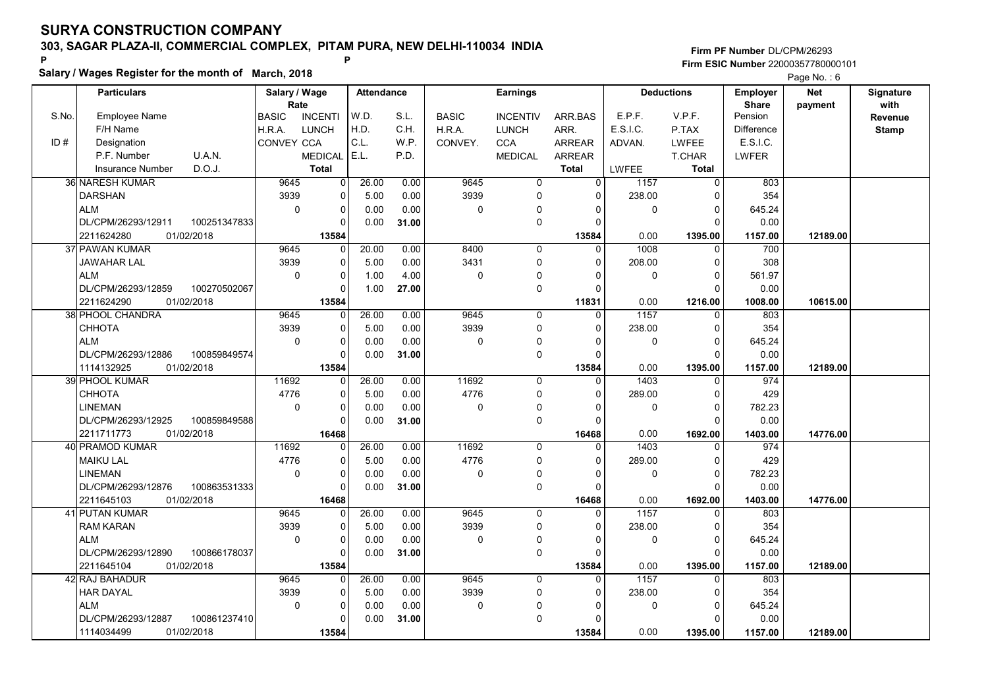Salary / Wages Register for the month of March, 2018

### Firm PF Number DL/CPM/26293 Firm ESIC Number <sup>22000357780000101</sup> P P

|       | <b>Particulars</b>                               | Salary / Wage        |                      | <b>Attendance</b> |       |              | <b>Earnings</b>         |                            |                | <b>Deductions</b>    | <b>Employer</b>         | <b>Net</b> | Signature       |
|-------|--------------------------------------------------|----------------------|----------------------|-------------------|-------|--------------|-------------------------|----------------------------|----------------|----------------------|-------------------------|------------|-----------------|
| S.No. | <b>Employee Name</b>                             | Rate<br><b>BASIC</b> | <b>INCENTI</b>       | W.D.              | S.L.  | <b>BASIC</b> | <b>INCENTIV</b>         | ARR.BAS                    | E.P.F.         | V.P.F.               | <b>Share</b><br>Pension | payment    | with<br>Revenue |
|       | F/H Name                                         | H.R.A.               | <b>LUNCH</b>         | H.D.              | C.H.  | H.R.A.       | <b>LUNCH</b>            | ARR.                       | E.S.I.C.       | P.TAX                | Difference              |            | <b>Stamp</b>    |
| ID#   | Designation                                      | CONVEY CCA           |                      | C.L.              | W.P.  |              | <b>CCA</b>              | <b>ARREAR</b>              |                | LWFEE                | E.S.I.C.                |            |                 |
|       | U.A.N.<br>P.F. Number                            |                      | <b>MEDICAL</b>       | E.L.              | P.D.  | CONVEY.      | <b>MEDICAL</b>          | <b>ARREAR</b>              | ADVAN.         | <b>T.CHAR</b>        | <b>LWFER</b>            |            |                 |
|       | D.O.J.<br><b>Insurance Number</b>                |                      | <b>Total</b>         |                   |       |              |                         | <b>Total</b>               |                | Total                |                         |            |                 |
|       |                                                  |                      |                      |                   |       | 9645         |                         |                            | <b>LWFEE</b>   |                      |                         |            |                 |
|       | 36 NARESH KUMAR                                  | 9645                 | 0                    | 26.00             | 0.00  |              | $\mathbf 0$             | $\overline{0}$<br>$\Omega$ | 1157           | 0                    | 803                     |            |                 |
|       | <b>DARSHAN</b>                                   | 3939                 | $\Omega$             | 5.00              | 0.00  | 3939         | $\Omega$                |                            | 238.00         | $\Omega$             | 354                     |            |                 |
|       | <b>ALM</b>                                       | $\Omega$             | $\mathbf 0$          | 0.00              | 0.00  | 0            | $\Omega$                | $\Omega$                   | $\Omega$       | $\Omega$             | 645.24                  |            |                 |
|       | DL/CPM/26293/12911<br>100251347833               |                      | $\Omega$             | 0.00              | 31.00 |              | $\mathbf 0$             | $\Omega$                   |                | $\Omega$             | 0.00                    |            |                 |
|       | 2211624280<br>01/02/2018                         |                      | 13584                |                   |       |              |                         | 13584                      | 0.00           | 1395.00              | 1157.00                 | 12189.00   |                 |
|       | 37 PAWAN KUMAR                                   | 9645                 | 0                    | 20.00             | 0.00  | 8400         | $\mathbf 0$             | $\Omega$                   | 1008           | 0                    | 700                     |            |                 |
|       | JAWAHAR LAL                                      | 3939                 | $\mathbf 0$          | 5.00              | 0.00  | 3431         | $\mathbf 0$             | $\Omega$                   | 208.00         | $\mathbf 0$          | 308                     |            |                 |
|       | <b>ALM</b>                                       | $\mathbf 0$          | $\mathbf 0$          | 1.00              | 4.00  | 0            | $\mathbf 0$             | U                          | 0              | $\mathbf 0$          | 561.97                  |            |                 |
|       | 100270502067<br>DL/CPM/26293/12859               |                      | $\Omega$             | 1.00              | 27.00 |              | $\Omega$                | $\Omega$                   |                | $\Omega$             | 0.00                    |            |                 |
|       | 2211624290<br>01/02/2018                         |                      | 13584                |                   |       |              |                         | 11831                      | 0.00           | 1216.00              | 1008.00                 | 10615.00   |                 |
|       | 38 PHOOL CHANDRA<br><b>CHHOTA</b>                | 9645<br>3939         | 0<br>$\Omega$        | 26.00             | 0.00  | 9645<br>3939 | $\mathbf 0$<br>$\Omega$ | $\Omega$<br>$\Omega$       | 1157<br>238.00 | $\Omega$<br>$\Omega$ | 803                     |            |                 |
|       |                                                  |                      |                      | 5.00              | 0.00  |              |                         |                            |                |                      | 354                     |            |                 |
|       | <b>ALM</b>                                       | $\mathbf 0$          | $\Omega$             | 0.00              | 0.00  | 0            | $\Omega$                | $\Omega$                   | 0              | $\mathbf 0$          | 645.24                  |            |                 |
|       | DL/CPM/26293/12886<br>100859849574<br>01/02/2018 |                      | $\mathbf 0$<br>13584 | 0.00              | 31.00 |              | 0                       | $\Omega$<br>13584          | 0.00           | $\Omega$<br>1395.00  | 0.00                    | 12189.00   |                 |
|       | 1114132925<br>39 PHOOL KUMAR                     | 11692                | 0                    | 26.00             | 0.00  | 11692        | $\Omega$                | $\Omega$                   | 1403           | $\Omega$             | 1157.00<br>974          |            |                 |
|       | CHHOTA                                           | 4776                 | $\mathbf 0$          | 5.00              | 0.00  | 4776         | $\mathbf 0$             | $\Omega$                   | 289.00         | $\mathbf 0$          | 429                     |            |                 |
|       | LINEMAN                                          | $\mathbf 0$          | 0                    | 0.00              | 0.00  | 0            | 0                       | $\Omega$                   | 0              | $\pmb{0}$            | 782.23                  |            |                 |
|       | DL/CPM/26293/12925<br>100859849588               |                      | $\mathbf 0$          | 0.00              | 31.00 |              | $\Omega$                | $\Omega$                   |                | $\Omega$             | 0.00                    |            |                 |
|       | 01/02/2018<br>2211711773                         |                      | 16468                |                   |       |              |                         | 16468                      | 0.00           | 1692.00              | 1403.00                 | 14776.00   |                 |
|       | 40 PRAMOD KUMAR                                  | 11692                | 0                    | 26.00             | 0.00  | 11692        | $\mathbf 0$             | $\Omega$                   | 1403           | $\mathbf 0$          | 974                     |            |                 |
|       | <b>MAIKU LAL</b>                                 | 4776                 | $\Omega$             | 5.00              | 0.00  | 4776         | $\Omega$                | $\Omega$                   | 289.00         | $\Omega$             | 429                     |            |                 |
|       | <b>LINEMAN</b>                                   | $\mathbf 0$          | $\mathbf 0$          | 0.00              | 0.00  | 0            | $\mathbf{0}$            | $\Omega$                   | 0              | $\mathbf 0$          | 782.23                  |            |                 |
|       | 100863531333<br>DL/CPM/26293/12876               |                      | $\Omega$             | 0.00              | 31.00 |              | $\mathbf 0$             | O                          |                | $\Omega$             | 0.00                    |            |                 |
|       | 2211645103<br>01/02/2018                         |                      | 16468                |                   |       |              |                         | 16468                      | 0.00           | 1692.00              | 1403.00                 | 14776.00   |                 |
|       | <b>41 PUTAN KUMAR</b>                            | 9645                 | $\Omega$             | 26.00             | 0.00  | 9645         | $\Omega$                | $\Omega$                   | 1157           | $\Omega$             | 803                     |            |                 |
|       | <b>RAM KARAN</b>                                 | 3939                 | $\mathbf 0$          | 5.00              | 0.00  | 3939         | $\mathbf 0$             | $\Omega$                   | 238.00         | $\mathbf 0$          | 354                     |            |                 |
|       | <b>ALM</b>                                       | $\Omega$             | 0                    | 0.00              | 0.00  | 0            | $\Omega$                | U                          | $\Omega$       | $\mathbf{0}$         | 645.24                  |            |                 |
|       | DL/CPM/26293/12890<br>100866178037               |                      | $\Omega$             | 0.00              | 31.00 |              | $\Omega$                | $\Omega$                   |                | $\Omega$             | 0.00                    |            |                 |
|       | 01/02/2018<br>2211645104                         |                      | 13584                |                   |       |              |                         | 13584                      | 0.00           | 1395.00              | 1157.00                 | 12189.00   |                 |
|       | 42 RAJ BAHADUR                                   | 9645                 | 0                    | 26.00             | 0.00  | 9645         | 0                       | $\Omega$                   | 1157           | $\mathbf 0$          | 803                     |            |                 |
|       | <b>HAR DAYAL</b>                                 | 3939                 | 0                    | 5.00              | 0.00  | 3939         | $\mathbf 0$             | $\Omega$                   | 238.00         | $\mathbf 0$          | 354                     |            |                 |
|       | <b>ALM</b>                                       | 0                    | 0                    | 0.00              | 0.00  | 0            | $\Omega$                | U                          | 0              | $\mathbf 0$          | 645.24                  |            |                 |
|       | DL/CPM/26293/12887<br>100861237410               |                      | $\Omega$             | 0.00              | 31.00 |              | $\mathbf{0}$            | 0                          |                | $\Omega$             | 0.00                    |            |                 |
|       | 1114034499<br>01/02/2018                         |                      | 13584                |                   |       |              |                         | 13584                      | 0.00           | 1395.00              | 1157.00                 | 12189.00   |                 |
|       |                                                  |                      |                      |                   |       |              |                         |                            |                |                      |                         |            |                 |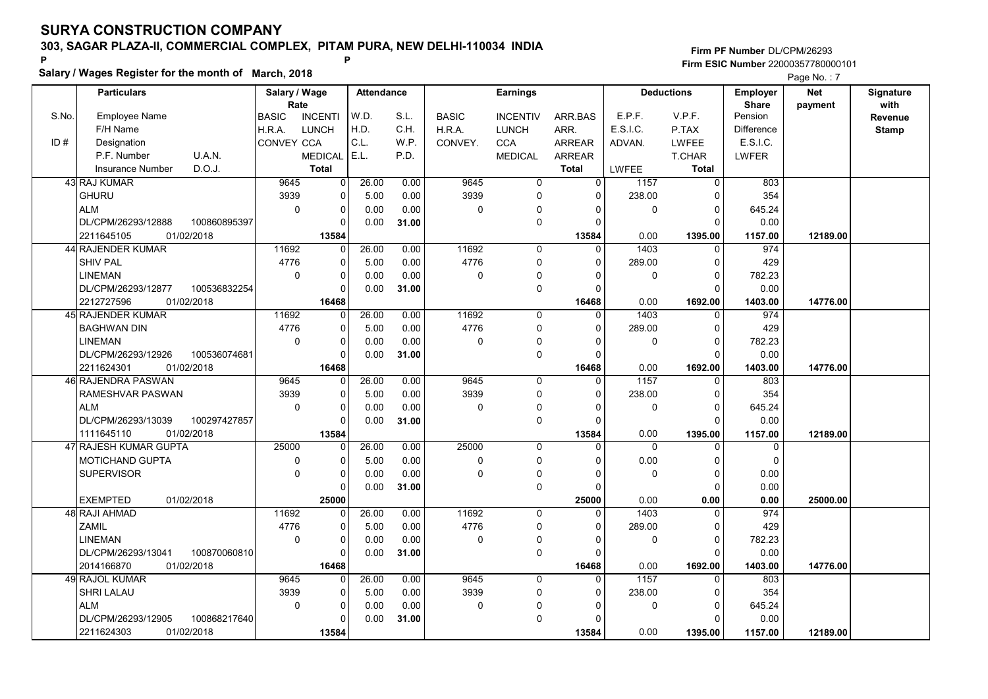Salary / Wages Register for the month of March, 2018

### Firm PF Number DL/CPM/26293 Firm ESIC Number <sup>22000357780000101</sup> P P

|       |                                    |                       |                |                   |       |              |                 |                |              |                   |                          | $\Gamma$ aye ive. $\Gamma$ |                   |
|-------|------------------------------------|-----------------------|----------------|-------------------|-------|--------------|-----------------|----------------|--------------|-------------------|--------------------------|----------------------------|-------------------|
|       | <b>Particulars</b>                 | Salary / Wage<br>Rate |                | <b>Attendance</b> |       |              | <b>Earnings</b> |                |              | <b>Deductions</b> | Employer<br><b>Share</b> | <b>Net</b><br>payment      | Signature<br>with |
| S.No. | Employee Name                      | <b>BASIC</b>          | <b>INCENTI</b> | W.D.              | S.L.  | <b>BASIC</b> | <b>INCENTIV</b> | ARR.BAS        | E.P.F.       | V.P.F.            | Pension                  |                            | Revenue           |
|       | F/H Name                           | H.R.A.                | <b>LUNCH</b>   | H.D.              | C.H.  | H.R.A.       | <b>LUNCH</b>    | ARR.           | E.S.I.C.     | P.TAX             | <b>Difference</b>        |                            | <b>Stamp</b>      |
| ID#   | Designation                        | <b>CONVEY CCA</b>     |                | C.L.              | W.P.  | CONVEY.      | <b>CCA</b>      | <b>ARREAR</b>  | ADVAN.       | <b>LWFEE</b>      | E.S.I.C.                 |                            |                   |
|       | P.F. Number<br>U.A.N.              |                       | <b>MEDICAL</b> | E.L.              | P.D.  |              | <b>MEDICAL</b>  | <b>ARREAR</b>  |              | T.CHAR            | LWFER                    |                            |                   |
|       | D.O.J.<br>Insurance Number         |                       | <b>Total</b>   |                   |       |              |                 | <b>Total</b>   | <b>LWFEE</b> | <b>Total</b>      |                          |                            |                   |
|       | 43 RAJ KUMAR                       | 9645                  | 0              | 26.00             | 0.00  | 9645         | $\mathbf 0$     | $\overline{0}$ | 1157         | $\overline{0}$    | 803                      |                            |                   |
|       | <b>GHURU</b>                       | 3939                  | $\mathbf 0$    | 5.00              | 0.00  | 3939         | $\mathbf 0$     | $\Omega$       | 238.00       | $\Omega$          | 354                      |                            |                   |
|       | <b>ALM</b>                         | $\Omega$              | $\Omega$       | 0.00              | 0.00  | 0            | 0               | $\Omega$       | 0            | $\Omega$          | 645.24                   |                            |                   |
|       | DL/CPM/26293/12888<br>100860895397 |                       | $\mathbf 0$    | 0.00              | 31.00 |              | $\mathbf 0$     | 0              |              | $\Omega$          | 0.00                     |                            |                   |
|       | 2211645105<br>01/02/2018           |                       | 13584          |                   |       |              |                 | 13584          | 0.00         | 1395.00           | 1157.00                  | 12189.00                   |                   |
|       | 44 RAJENDER KUMAR                  | 11692                 | $\Omega$       | 26.00             | 0.00  | 11692        | $\Omega$        | $\Omega$       | 1403         | $\Omega$          | 974                      |                            |                   |
|       | <b>SHIV PAL</b>                    | 4776                  | $\Omega$       | 5.00              | 0.00  | 4776         | $\Omega$        | $\Omega$       | 289.00       | $\Omega$          | 429                      |                            |                   |
|       | <b>LINEMAN</b>                     | 0                     | $\pmb{0}$      | 0.00              | 0.00  | 0            | $\Omega$        | $\Omega$       | 0            | $\pmb{0}$         | 782.23                   |                            |                   |
|       | DL/CPM/26293/12877<br>100536832254 |                       | $\Omega$       | 0.00              | 31.00 |              | $\pmb{0}$       | $\Omega$       |              | $\Omega$          | 0.00                     |                            |                   |
|       | 01/02/2018<br>2212727596           |                       | 16468          |                   |       |              |                 | 16468          | 0.00         | 1692.00           | 1403.00                  | 14776.00                   |                   |
|       | 45 RAJENDER KUMAR                  | 11692                 | $\Omega$       | 26.00             | 0.00  | 11692        | $\Omega$        | 0              | 1403         | $\mathbf 0$       | 974                      |                            |                   |
|       | <b>BAGHWAN DIN</b>                 | 4776                  | $\pmb{0}$      | 5.00              | 0.00  | 4776         | 0               | $\Omega$       | 289.00       | $\mathbf 0$       | 429                      |                            |                   |
|       | <b>LINEMAN</b>                     | $\pmb{0}$             | $\pmb{0}$      | 0.00              | 0.00  | 0            | $\mathbf 0$     | O              | 0            | $\mathbf 0$       | 782.23                   |                            |                   |
|       | DL/CPM/26293/12926<br>100536074681 |                       | $\Omega$       | 0.00              | 31.00 |              | $\pmb{0}$       | $\Omega$       |              | $\mathbf 0$       | 0.00                     |                            |                   |
|       | 2211624301<br>01/02/2018           |                       | 16468          |                   |       |              |                 | 16468          | 0.00         | 1692.00           | 1403.00                  | 14776.00                   |                   |
|       | <b>46 RAJENDRA PASWAN</b>          | 9645                  | $\mathbf 0$    | 26.00             | 0.00  | 9645         | 0               | $\Omega$       | 1157         | $\mathbf 0$       | 803                      |                            |                   |
|       | RAMESHVAR PASWAN                   | 3939                  | $\Omega$       | 5.00              | 0.00  | 3939         | $\mathbf 0$     | $\Omega$       | 238.00       | $\mathbf 0$       | 354                      |                            |                   |
|       | <b>ALM</b>                         | $\mathbf 0$           | $\mathbf 0$    | 0.00              | 0.00  | 0            | 0               | $\Omega$       | 0            | $\mathbf 0$       | 645.24                   |                            |                   |
|       | DL/CPM/26293/13039<br>100297427857 |                       | $\Omega$       | 0.00              | 31.00 |              | $\mathbf 0$     | $\Omega$       |              | $\Omega$          | 0.00                     |                            |                   |
|       | 1111645110<br>01/02/2018           |                       | 13584          |                   |       |              |                 | 13584          | 0.00         | 1395.00           | 1157.00                  | 12189.00                   |                   |
|       | 47 RAJESH KUMAR GUPTA              | 25000                 | $\mathbf{0}$   | 26.00             | 0.00  | 25000        | $\mathbf 0$     | $\Omega$       | $\mathbf 0$  | $\mathbf 0$       | $\mathbf 0$              |                            |                   |
|       | <b>MOTICHAND GUPTA</b>             | $\mathbf 0$           | $\mathbf 0$    | 5.00              | 0.00  | 0            | $\mathbf 0$     | $\Omega$       | 0.00         | $\mathbf 0$       | $\mathbf 0$              |                            |                   |
|       | <b>SUPERVISOR</b>                  | $\mathbf 0$           | $\mathbf 0$    | 0.00              | 0.00  | 0            | 0               | $\Omega$       | 0            | $\mathbf 0$       | 0.00                     |                            |                   |
|       |                                    |                       | $\mathbf 0$    | 0.00              | 31.00 |              | $\mathbf 0$     | $\Omega$       |              | $\mathbf 0$       | 0.00                     |                            |                   |
|       | <b>EXEMPTED</b><br>01/02/2018      |                       | 25000          |                   |       |              |                 | 25000          | 0.00         | 0.00              | 0.00                     | 25000.00                   |                   |
|       | 48 RAJI AHMAD                      | 11692                 | $\Omega$       | 26.00             | 0.00  | 11692        | $\Omega$        | $\Omega$       | 1403         | 0                 | 974                      |                            |                   |
|       | <b>ZAMIL</b>                       | 4776                  | $\Omega$       | 5.00              | 0.00  | 4776         | $\mathbf 0$     | $\Omega$       | 289.00       | $\Omega$          | 429                      |                            |                   |
|       | <b>LINEMAN</b>                     | $\mathbf 0$           | $\mathbf 0$    | 0.00              | 0.00  | 0            | 0               | $\Omega$       | 0            | $\mathbf 0$       | 782.23                   |                            |                   |
|       | DL/CPM/26293/13041<br>100870060810 |                       | $\Omega$       | 0.00              | 31.00 |              | $\mathbf 0$     | $\Omega$       |              | $\Omega$          | 0.00                     |                            |                   |
|       | 2014166870<br>01/02/2018           |                       | 16468          |                   |       |              |                 | 16468          | 0.00         | 1692.00           | 1403.00                  | 14776.00                   |                   |
|       | 49 RAJOL KUMAR                     | 9645                  | $\Omega$       | 26.00             | 0.00  | 9645         | $\Omega$        | $\Omega$       | 1157         | $\Omega$          | 803                      |                            |                   |
|       | SHRI LALAU                         | 3939                  | $\mathbf 0$    | 5.00              | 0.00  | 3939         | $\mathbf 0$     | $\Omega$       | 238.00       | 0                 | 354                      |                            |                   |
|       | <b>ALM</b>                         | $\mathbf 0$           | $\mathbf 0$    | 0.00              | 0.00  | 0            | $\Omega$        | 0              | 0            | $\mathbf 0$       | 645.24                   |                            |                   |
|       | DL/CPM/26293/12905<br>100868217640 |                       | $\Omega$       | 0.00              | 31.00 |              | $\Omega$        | $\Omega$       |              | $\Omega$          | 0.00                     |                            |                   |
|       | 01/02/2018<br>2211624303           |                       | 13584          |                   |       |              |                 | 13584          | 0.00         | 1395.00           | 1157.00                  | 12189.00                   |                   |
|       |                                    |                       |                |                   |       |              |                 |                |              |                   |                          |                            |                   |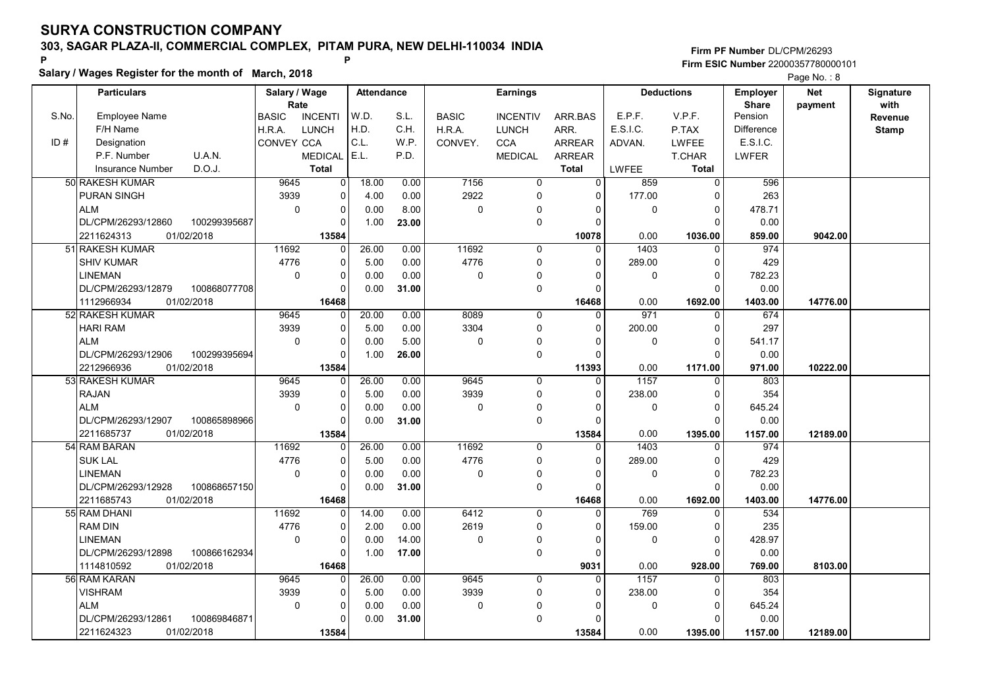Salary / Wages Register for the month of March, 2018

### Firm PF Number DL/CPM/26293 Firm ESIC Number <sup>22000357780000101</sup> P P

|       | <b>Particulars</b>      |              | Salary / Wage        |                | <b>Attendance</b> |       |                | <b>Earnings</b> |                |             | <b>Deductions</b> | Employer                | <b>Net</b> | Signature       |
|-------|-------------------------|--------------|----------------------|----------------|-------------------|-------|----------------|-----------------|----------------|-------------|-------------------|-------------------------|------------|-----------------|
| S.No. | <b>Employee Name</b>    |              | Rate<br><b>BASIC</b> | <b>INCENTI</b> | W.D.              | S.L.  | <b>BASIC</b>   | <b>INCENTIV</b> | ARR.BAS        | E.P.F.      | V.P.F.            | <b>Share</b><br>Pension | payment    | with<br>Revenue |
|       | F/H Name                |              | H.R.A.               | <b>LUNCH</b>   | H.D.              | C.H.  | H.R.A.         | <b>LUNCH</b>    | ARR.           | E.S.I.C.    | P.TAX             | <b>Difference</b>       |            | <b>Stamp</b>    |
| ID#   | Designation             |              | CONVEY CCA           |                | C.L.              | WP.   | CONVEY.        | <b>CCA</b>      | <b>ARREAR</b>  | ADVAN.      | <b>LWFEE</b>      | E.S.I.C.                |            |                 |
|       | P.F. Number             | U.A.N.       |                      | <b>MEDICAL</b> | E.L.              | P.D.  |                | <b>MEDICAL</b>  | <b>ARREAR</b>  |             | T.CHAR            | LWFER                   |            |                 |
|       | <b>Insurance Number</b> | D.O.J.       |                      | <b>Total</b>   |                   |       |                |                 | <b>Total</b>   | LWFEE       | Total             |                         |            |                 |
|       | 50 RAKESH KUMAR         |              | 9645                 | 0              | 18.00             | 0.00  | 7156           | 0               | $\overline{0}$ | 859         | 0                 | 596                     |            |                 |
|       | <b>PURAN SINGH</b>      |              | 3939                 | $\Omega$       | 4.00              | 0.00  | 2922           | $\Omega$        | $\Omega$       | 177.00      | $\Omega$          | 263                     |            |                 |
|       | <b>ALM</b>              |              | $\mathbf 0$          | 0              | 0.00              | 8.00  | $\overline{0}$ | $\Omega$        | $\Omega$       | $\mathbf 0$ | $\mathbf 0$       | 478.71                  |            |                 |
|       | DL/CPM/26293/12860      | 100299395687 |                      | 0              | 1.00              | 23.00 |                | $\mathbf 0$     | $\Omega$       |             | $\Omega$          | 0.00                    |            |                 |
|       | 2211624313              | 01/02/2018   |                      | 13584          |                   |       |                |                 | 10078          | 0.00        | 1036.00           | 859.00                  | 9042.00    |                 |
|       | 51 RAKESH KUMAR         |              | 11692                | $\mathbf 0$    | 26.00             | 0.00  | 11692          | $\mathbf 0$     | $\Omega$       | 1403        | $\mathbf 0$       | 974                     |            |                 |
|       | <b>SHIV KUMAR</b>       |              | 4776                 | $\mathbf 0$    | 5.00              | 0.00  | 4776           | $\mathbf 0$     | $\Omega$       | 289.00      | $\Omega$          | 429                     |            |                 |
|       | <b>LINEMAN</b>          |              | $\Omega$             | 0              | 0.00              | 0.00  | 0              | $\Omega$        | $\Omega$       | 0           | $\Omega$          | 782.23                  |            |                 |
|       | DL/CPM/26293/12879      | 100868077708 |                      | 0              | 0.00              | 31.00 |                | $\mathbf 0$     | $\Omega$       |             | $\Omega$          | 0.00                    |            |                 |
|       | 1112966934              | 01/02/2018   |                      | 16468          |                   |       |                |                 | 16468          | 0.00        | 1692.00           | 1403.00                 | 14776.00   |                 |
|       | 52 RAKESH KUMAR         |              | 9645                 | $\mathbf 0$    | 20.00             | 0.00  | 8089           | $\Omega$        | $\Omega$       | 971         | $\Omega$          | 674                     |            |                 |
|       | <b>HARI RAM</b>         |              | 3939                 | $\pmb{0}$      | 5.00              | 0.00  | 3304           | $\Omega$        | $\Omega$       | 200.00      | $\Omega$          | 297                     |            |                 |
|       | <b>ALM</b>              |              | $\mathbf 0$          | $\mathbf 0$    | 0.00              | 5.00  | 0              | $\Omega$        | $\Omega$       | $\mathbf 0$ | $\Omega$          | 541.17                  |            |                 |
|       | DL/CPM/26293/12906      | 100299395694 |                      | $\mathbf 0$    | 1.00              | 26.00 |                | 0               | $\Omega$       |             | $\Omega$          | 0.00                    |            |                 |
|       | 2212966936              | 01/02/2018   |                      | 13584          |                   |       |                |                 | 11393          | 0.00        | 1171.00           | 971.00                  | 10222.00   |                 |
|       | 53 RAKESH KUMAR         |              | 9645                 | $\mathbf 0$    | 26.00             | 0.00  | 9645           | $\Omega$        | $\Omega$       | 1157        | $\mathbf{0}$      | 803                     |            |                 |
|       | <b>RAJAN</b>            |              | 3939                 | $\mathbf 0$    | 5.00              | 0.00  | 3939           | $\mathbf 0$     | $\Omega$       | 238.00      | $\mathbf 0$       | 354                     |            |                 |
|       | <b>ALM</b>              |              | $\Omega$             | $\mathbf 0$    | 0.00              | 0.00  | 0              | $\mathbf 0$     | $\Omega$       | $\mathbf 0$ | $\mathbf 0$       | 645.24                  |            |                 |
|       | DL/CPM/26293/12907      | 100865898966 |                      | $\mathbf 0$    | 0.00              | 31.00 |                | $\mathbf 0$     | $\Omega$       |             | $\Omega$          | 0.00                    |            |                 |
|       | 2211685737              | 01/02/2018   |                      | 13584          |                   |       |                |                 | 13584          | 0.00        | 1395.00           | 1157.00                 | 12189.00   |                 |
|       | 54 RAM BARAN            |              | 11692                | 0              | 26.00             | 0.00  | 11692          | $\Omega$        | $\Omega$       | 1403        | $\Omega$          | 974                     |            |                 |
|       | <b>SUK LAL</b>          |              | 4776                 | 0              | 5.00              | 0.00  | 4776           | 0               | $\Omega$       | 289.00      | $\mathbf 0$       | 429                     |            |                 |
|       | <b>LINEMAN</b>          |              | $\mathbf 0$          | $\mathbf 0$    | 0.00              | 0.00  | 0              | $\Omega$        | $\Omega$       | $\mathbf 0$ | $\mathbf 0$       | 782.23                  |            |                 |
|       | DL/CPM/26293/12928      | 100868657150 |                      | 0              | 0.00              | 31.00 |                | $\mathbf 0$     | $\Omega$       |             | $\Omega$          | 0.00                    |            |                 |
|       | 2211685743              | 01/02/2018   |                      | 16468          |                   |       |                |                 | 16468          | 0.00        | 1692.00           | 1403.00                 | 14776.00   |                 |
|       | 55 RAM DHANI            |              | 11692                | $\Omega$       | 14.00             | 0.00  | 6412           | $\Omega$        | $\Omega$       | 769         | $\Omega$          | 534                     |            |                 |
|       | <b>RAM DIN</b>          |              | 4776                 | 0              | 2.00              | 0.00  | 2619           | 0               | $\Omega$       | 159.00      | $\mathbf 0$       | 235                     |            |                 |
|       | <b>LINEMAN</b>          |              | $\Omega$             | $\mathbf 0$    | 0.00              | 14.00 | 0              | $\Omega$        | $\Omega$       | $\Omega$    | $\mathbf 0$       | 428.97                  |            |                 |
|       | DL/CPM/26293/12898      | 100866162934 |                      | $\mathbf 0$    | 1.00              | 17.00 |                | $\mathbf 0$     | $\Omega$       |             | $\Omega$          | 0.00                    |            |                 |
|       | 1114810592              | 01/02/2018   |                      | 16468          |                   |       |                |                 | 9031           | 0.00        | 928.00            | 769.00                  | 8103.00    |                 |
|       | 56 RAM KARAN            |              | 9645                 | $\mathbf 0$    | 26.00             | 0.00  | 9645           | $\mathbf 0$     | $\Omega$       | 1157        | $\mathbf 0$       | 803                     |            |                 |
|       | <b>VISHRAM</b>          |              | 3939                 | 0              | 5.00              | 0.00  | 3939           | $\mathbf 0$     | 0              | 238.00      | 0                 | 354                     |            |                 |
|       | <b>ALM</b>              |              | $\Omega$             | $\mathbf 0$    | 0.00              | 0.00  | 0              | $\mathbf 0$     | O              | 0           | $\Omega$          | 645.24                  |            |                 |
|       | DL/CPM/26293/12861      | 100869846871 |                      | $\Omega$       | 0.00              | 31.00 |                | $\mathbf 0$     | $\Omega$       |             | $\Omega$          | 0.00                    |            |                 |
|       | 2211624323              | 01/02/2018   |                      | 13584          |                   |       |                |                 | 13584          | 0.00        | 1395.00           | 1157.00                 | 12189.00   |                 |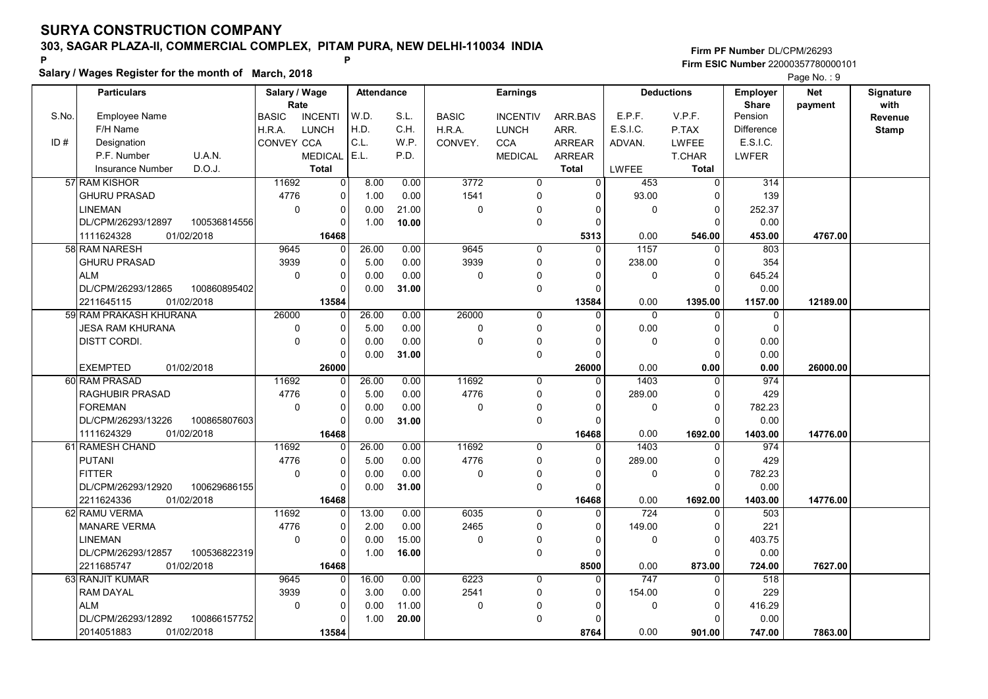Salary / Wages Register for the month of March, 2018

### Firm PF Number DL/CPM/26293 Firm ESIC Number <sup>22000357780000101</sup> P P

|       |                                    |                       |                |                   |       |              |                 |               |                   |                   |                                 | <b>Faye NO.</b> 9     |                   |
|-------|------------------------------------|-----------------------|----------------|-------------------|-------|--------------|-----------------|---------------|-------------------|-------------------|---------------------------------|-----------------------|-------------------|
|       | <b>Particulars</b>                 | Salary / Wage<br>Rate |                | <b>Attendance</b> |       |              | <b>Earnings</b> |               |                   | <b>Deductions</b> | <b>Employer</b><br><b>Share</b> | <b>Net</b><br>payment | Signature<br>with |
| S.No. | Employee Name                      | <b>BASIC</b>          | <b>INCENTI</b> | W.D.              | S.L.  | <b>BASIC</b> | <b>INCENTIV</b> | ARR.BAS       | E.P.F.            | V.P.F.            | Pension                         |                       | Revenue           |
|       | F/H Name                           | H.R.A.                | <b>LUNCH</b>   | H.D.              | C.H.  | H.R.A.       | <b>LUNCH</b>    | ARR.          | E.S.I.C.          | P.TAX             | <b>Difference</b>               |                       | <b>Stamp</b>      |
| ID#   | Designation                        | <b>CONVEY CCA</b>     |                | C.L.              | W.P.  | CONVEY.      | <b>CCA</b>      | <b>ARREAR</b> | ADVAN.            | <b>LWFEE</b>      | E.S.I.C.                        |                       |                   |
|       | P.F. Number<br>U.A.N.              |                       | <b>MEDICAL</b> | E.L.              | P.D.  |              | <b>MEDICAL</b>  | ARREAR        |                   | <b>T.CHAR</b>     | LWFER                           |                       |                   |
|       | D.O.J.<br>Insurance Number         |                       | <b>Total</b>   |                   |       |              |                 | <b>Total</b>  | <b>LWFEE</b>      | <b>Total</b>      |                                 |                       |                   |
|       | 57 RAM KISHOR                      | 11692                 | $\overline{0}$ | 8.00              | 0.00  | 3772         | $\overline{0}$  | $\Omega$      | 453               | $\mathbf 0$       | 314                             |                       |                   |
|       | <b>GHURU PRASAD</b>                | 4776                  | 0              | 1.00              | 0.00  | 1541         | 0               | $\Omega$      | 93.00             | $\Omega$          | 139                             |                       |                   |
|       | <b>LINEMAN</b>                     | $\mathbf 0$           | $\mathbf 0$    | 0.00              | 21.00 | $\mathbf 0$  | 0               | $\Omega$      | $\mathbf 0$       | $\Omega$          | 252.37                          |                       |                   |
|       | DL/CPM/26293/12897<br>100536814556 |                       | 0              | 1.00              | 10.00 |              | 0               | $\mathbf 0$   |                   | $\mathbf 0$       | 0.00                            |                       |                   |
|       | 01/02/2018<br>1111624328           |                       | 16468          |                   |       |              |                 | 5313          | 0.00              | 546.00            | 453.00                          | 4767.00               |                   |
|       | 58 RAM NARESH                      | 9645                  | $\mathbf 0$    | 26.00             | 0.00  | 9645         | 0               | $\Omega$      | $\overline{1157}$ | $\Omega$          | 803                             |                       |                   |
|       | <b>GHURU PRASAD</b>                | 3939                  | $\mathbf 0$    | 5.00              | 0.00  | 3939         | 0               | $\Omega$      | 238.00            | $\Omega$          | 354                             |                       |                   |
|       | <b>ALM</b>                         | $\mathbf 0$           | 0              | 0.00              | 0.00  | $\mathbf 0$  | 0               | 0             | 0                 | 0                 | 645.24                          |                       |                   |
|       | DL/CPM/26293/12865<br>100860895402 |                       | $\mathbf 0$    | 0.00              | 31.00 |              | 0               | $\Omega$      |                   | $\Omega$          | 0.00                            |                       |                   |
|       | 01/02/2018<br>2211645115           |                       | 13584          |                   |       |              |                 | 13584         | 0.00              | 1395.00           | 1157.00                         | 12189.00              |                   |
|       | 59 RAM PRAKASH KHURANA             | 26000                 | $\Omega$       | 26.00             | 0.00  | 26000        | 0               | $\Omega$      | $\mathbf{0}$      | $\Omega$          | 0                               |                       |                   |
|       | <b>JESA RAM KHURANA</b>            | 0                     | 0              | 5.00              | 0.00  | $\mathbf 0$  | 0               | $\Omega$      | 0.00              | $\mathbf 0$       | $\mathbf 0$                     |                       |                   |
|       | DISTT CORDI.                       | $\mathbf 0$           | 0              | 0.00              | 0.00  | 0            | $\Omega$        | $\Omega$      | $\mathbf 0$       | $\Omega$          | 0.00                            |                       |                   |
|       |                                    |                       | $\mathbf 0$    | 0.00              | 31.00 |              | 0               | $\Omega$      |                   | $\Omega$          | 0.00                            |                       |                   |
|       | <b>EXEMPTED</b><br>01/02/2018      |                       | 26000          |                   |       |              |                 | 26000         | 0.00              | 0.00              | 0.00                            | 26000.00              |                   |
|       | 60 RAM PRASAD                      | 11692                 | $\mathbf 0$    | 26.00             | 0.00  | 11692        | $\mathbf 0$     | $\mathbf{0}$  | 1403              | $\mathbf 0$       | 974                             |                       |                   |
|       | <b>RAGHUBIR PRASAD</b>             | 4776                  | 0              | 5.00              | 0.00  | 4776         | 0               | $\Omega$      | 289.00            | $\mathbf 0$       | 429                             |                       |                   |
|       | <b>FOREMAN</b>                     | $\mathbf 0$           | 0              | 0.00              | 0.00  | 0            | 0               | $\Omega$      | $\mathbf{0}$      | $\mathbf 0$       | 782.23                          |                       |                   |
|       | DL/CPM/26293/13226<br>100865807603 |                       | $\Omega$       | 0.00              | 31.00 |              | 0               | $\Omega$      |                   | $\Omega$          | 0.00                            |                       |                   |
|       | 1111624329<br>01/02/2018           |                       | 16468          |                   |       |              |                 | 16468         | 0.00              | 1692.00           | 1403.00                         | 14776.00              |                   |
|       | 61 RAMESH CHAND                    | 11692                 | 0              | 26.00             | 0.00  | 11692        | $\Omega$        | $\Omega$      | 1403              | $\Omega$          | 974                             |                       |                   |
|       | <b>PUTANI</b>                      | 4776                  | 0              | 5.00              | 0.00  | 4776         | 0               | $\Omega$      | 289.00            | $\Omega$          | 429                             |                       |                   |
|       | <b>FITTER</b>                      | $\mathbf 0$           | $\pmb{0}$      | 0.00              | 0.00  | $\mathbf 0$  | 0               | $\Omega$      | $\mathbf 0$       | $\mathbf 0$       | 782.23                          |                       |                   |
|       | DL/CPM/26293/12920<br>100629686155 |                       | 0              | 0.00              | 31.00 |              | 0               | $\Omega$      |                   | $\Omega$          | 0.00                            |                       |                   |
|       | 2211624336<br>01/02/2018           |                       | 16468          |                   |       |              |                 | 16468         | 0.00              | 1692.00           | 1403.00                         | 14776.00              |                   |
|       | 62 RAMU VERMA                      | 11692                 | 0              | 13.00             | 0.00  | 6035         | 0               | 0             | 724               | $\mathbf 0$       | 503                             |                       |                   |
|       | <b>MANARE VERMA</b>                | 4776                  | $\mathbf 0$    | 2.00              | 0.00  | 2465         | 0               | $\Omega$      | 149.00            | $\mathbf 0$       | 221                             |                       |                   |
|       | <b>LINEMAN</b>                     | $\mathbf 0$           | 0              | 0.00              | 15.00 | $\mathbf 0$  | 0               | 0             | $\mathbf 0$       | $\mathbf 0$       | 403.75                          |                       |                   |
|       | 100536822319<br>DL/CPM/26293/12857 |                       | $\mathbf 0$    | 1.00              | 16.00 |              | 0               | $\Omega$      |                   | $\Omega$          | 0.00                            |                       |                   |
|       | 01/02/2018<br>2211685747           |                       | 16468          |                   |       |              |                 | 8500          | 0.00              | 873.00            | 724.00                          | 7627.00               |                   |
|       | 63 RANJIT KUMAR                    | 9645                  | $\mathbf 0$    | 16.00             | 0.00  | 6223         | $\mathbf 0$     | $\Omega$      | 747               | $\Omega$          | 518                             |                       |                   |
|       | <b>RAM DAYAL</b>                   | 3939                  | 0              | 3.00              | 0.00  | 2541         | 0               | 0             | 154.00            | $\mathbf 0$       | 229                             |                       |                   |
|       | <b>ALM</b>                         | $\mathbf 0$           | $\mathbf 0$    | 0.00              | 11.00 | 0            | $\Omega$        | $\Omega$      | $\mathbf 0$       | $\Omega$          | 416.29                          |                       |                   |
|       | DL/CPM/26293/12892<br>100866157752 |                       | $\mathbf 0$    | 1.00              | 20.00 |              | 0               | $\Omega$      |                   | $\Omega$          | 0.00                            |                       |                   |
|       | 2014051883<br>01/02/2018           |                       | 13584          |                   |       |              |                 | 8764          | 0.00              | 901.00            | 747.00                          | 7863.00               |                   |
|       |                                    |                       |                |                   |       |              |                 |               |                   |                   |                                 |                       |                   |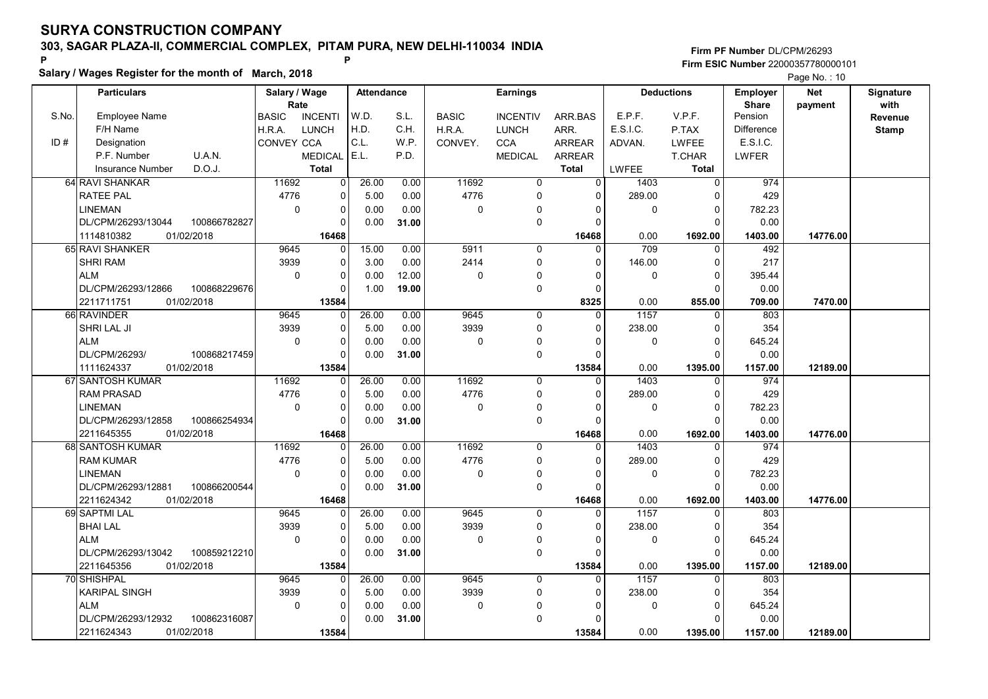Salary / Wages Register for the month of March, 2018

## Firm PF Number DL/CPM/26293 Firm ESIC Number <sup>22000357780000101</sup> P P

|       | <b>Particulars</b>             |              | Salary / Wage        |                | <b>Attendance</b> |       |              | <b>Earnings</b> |                   |              | <b>Deductions</b>       | <b>Employer</b>         | <b>Net</b> | Signature       |
|-------|--------------------------------|--------------|----------------------|----------------|-------------------|-------|--------------|-----------------|-------------------|--------------|-------------------------|-------------------------|------------|-----------------|
| S.No. | <b>Employee Name</b>           |              | Rate<br><b>BASIC</b> | <b>INCENTI</b> | W.D.              | S.L.  | <b>BASIC</b> | <b>INCENTIV</b> | ARR.BAS           | E.P.F.       | V.P.F.                  | <b>Share</b><br>Pension | payment    | with<br>Revenue |
|       | F/H Name                       |              | H.R.A.               | <b>LUNCH</b>   | H.D.              | C.H.  | H.R.A.       | <b>LUNCH</b>    | ARR.              | E.S.I.C.     | P.TAX                   | Difference              |            | <b>Stamp</b>    |
| ID#   | Designation                    |              | CONVEY CCA           |                | C.L.              | W.P.  | CONVEY.      | <b>CCA</b>      | <b>ARREAR</b>     | ADVAN.       | <b>LWFEE</b>            | E.S.I.C.                |            |                 |
|       | P.F. Number                    | U.A.N.       |                      | <b>MEDICAL</b> | E.L.              | P.D.  |              | <b>MEDICAL</b>  | <b>ARREAR</b>     |              | <b>T.CHAR</b>           | LWFER                   |            |                 |
|       | <b>Insurance Number</b>        | D.O.J.       |                      | <b>Total</b>   |                   |       |              |                 | <b>Total</b>      | <b>LWFEE</b> | Total                   |                         |            |                 |
|       | 64 RAVI SHANKAR                |              | 11692                | 0              | 26.00             | 0.00  | 11692        | 0               | $\Omega$          | 1403         |                         | 974                     |            |                 |
|       | <b>RATEE PAL</b>               |              | 4776                 |                |                   |       | 4776         | $\Omega$        |                   |              | 0                       |                         |            |                 |
|       |                                |              | $\Omega$             | 0              | 5.00              | 0.00  |              |                 | $\Omega$          | 289.00       | $\mathbf 0$<br>$\Omega$ | 429                     |            |                 |
|       | LINEMAN                        | 100866782827 |                      | 0<br>$\Omega$  | 0.00              | 0.00  | $\mathbf 0$  | $\Omega$<br>0   | $\Omega$          | $\mathbf 0$  | $\Omega$                | 782.23                  |            |                 |
|       | DL/CPM/26293/13044             |              |                      |                | 0.00              | 31.00 |              |                 |                   |              |                         | 0.00                    |            |                 |
|       | 1114810382                     | 01/02/2018   |                      | 16468          |                   |       | 5911         |                 | 16468<br>$\Omega$ | 0.00         | 1692.00                 | 1403.00                 | 14776.00   |                 |
|       | 65 RAVI SHANKER                |              | 9645                 | 0              | 15.00             | 0.00  |              | $\mathbf 0$     |                   | 709          | $\mathbf 0$             | 492                     |            |                 |
|       | <b>SHRI RAM</b>                |              | 3939                 | 0              | 3.00              | 0.00  | 2414         | 0               | $\Omega$          | 146.00       | $\mathbf 0$             | 217                     |            |                 |
|       | <b>ALM</b>                     |              | $\mathbf 0$          | 0              | 0.00              | 12.00 | $\mathbf 0$  | 0               | O                 | $\mathbf 0$  | $\mathbf 0$             | 395.44                  |            |                 |
|       | DL/CPM/26293/12866             | 100868229676 |                      | $\Omega$       | 1.00              | 19.00 |              | 0               | $\Omega$          |              | $\Omega$                | 0.00                    |            |                 |
|       | 2211711751<br>66 RAVINDER      | 01/02/2018   | 9645                 | 13584          |                   | 0.00  |              |                 | 8325<br>U         | 0.00         | 855.00                  | 709.00                  | 7470.00    |                 |
|       | SHRI LAL JI                    |              |                      | $\Omega$       | 26.00             |       | 9645<br>3939 | 0<br>$\Omega$   | $\Omega$          | 1157         | $\Omega$<br>$\Omega$    | 803                     |            |                 |
|       |                                |              | 3939                 | $\Omega$       | 5.00              | 0.00  |              |                 |                   | 238.00       |                         | 354                     |            |                 |
|       | <b>ALM</b>                     |              | $\mathbf 0$          | 0              | 0.00              | 0.00  | $\mathbf 0$  | $\Omega$        |                   | $\mathbf 0$  | $\mathbf 0$<br>$\Omega$ | 645.24                  |            |                 |
|       | DL/CPM/26293/                  | 100868217459 |                      | $\Omega$       | 0.00              | 31.00 |              | 0               |                   |              |                         | 0.00                    |            |                 |
|       | 1111624337<br>67 SANTOSH KUMAR | 01/02/2018   | 11692                | 13584          | 26.00             | 0.00  | 11692        | 0               | 13584             | 0.00<br>1403 | 1395.00<br>$\mathbf 0$  | 1157.00<br>974          | 12189.00   |                 |
|       | <b>RAM PRASAD</b>              |              | 4776                 | 0<br>$\Omega$  | 5.00              | 0.00  | 4776         | 0               | $\Omega$          | 289.00       | $\mathbf 0$             | 429                     |            |                 |
|       | <b>LINEMAN</b>                 |              | $\mathbf 0$          | $\Omega$       |                   | 0.00  | $\mathbf 0$  |                 |                   | $\mathbf 0$  | $\mathbf 0$             |                         |            |                 |
|       | DL/CPM/26293/12858             | 100866254934 |                      | $\Omega$       | 0.00<br>0.00      | 31.00 |              | 0<br>0          | ŋ                 |              | $\Omega$                | 782.23<br>0.00          |            |                 |
|       | 2211645355                     | 01/02/2018   |                      | 16468          |                   |       |              |                 | 16468             | 0.00         |                         |                         | 14776.00   |                 |
|       | 68 SANTOSH KUMAR               |              | 11692                | 0              | 26.00             | 0.00  | 11692        | 0               | $\Omega$          | 1403         | 1692.00<br>$\Omega$     | 1403.00<br>974          |            |                 |
|       | <b>RAM KUMAR</b>               |              | 4776                 | $\Omega$       | 5.00              | 0.00  | 4776         | $\Omega$        | $\Omega$          | 289.00       | $\Omega$                | 429                     |            |                 |
|       | <b>LINEMAN</b>                 |              | $\mathbf 0$          | 0              | 0.00              | 0.00  | $\mathbf 0$  | $\mathbf{0}$    | $\Omega$          | $\mathbf 0$  | $\pmb{0}$               | 782.23                  |            |                 |
|       | DL/CPM/26293/12881             | 100866200544 |                      | 0              | 0.00              | 31.00 |              | 0               |                   |              | $\Omega$                | 0.00                    |            |                 |
|       | 2211624342                     | 01/02/2018   |                      | 16468          |                   |       |              |                 | 16468             | 0.00         | 1692.00                 | 1403.00                 | 14776.00   |                 |
|       | 69 SAPTMI LAL                  |              | 9645                 | 0              | 26.00             | 0.00  | 9645         | 0               | $\Omega$          | 1157         | $\mathbf 0$             | 803                     |            |                 |
|       | <b>BHAI LAL</b>                |              | 3939                 | 0              | 5.00              | 0.00  | 3939         | 0               | $\Omega$          | 238.00       | 0                       | 354                     |            |                 |
|       | <b>ALM</b>                     |              | $\mathbf 0$          | 0              | 0.00              | 0.00  | $\mathbf 0$  | $\Omega$        | $\Omega$          | $\mathbf 0$  | $\mathbf 0$             | 645.24                  |            |                 |
|       | DL/CPM/26293/13042             | 100859212210 |                      | $\Omega$       | 0.00              | 31.00 |              | 0               |                   |              | $\Omega$                | 0.00                    |            |                 |
|       | 2211645356                     | 01/02/2018   |                      | 13584          |                   |       |              |                 | 13584             | 0.00         | 1395.00                 | 1157.00                 | 12189.00   |                 |
|       | 70 SHISHPAL                    |              | 9645                 | $\Omega$       | 26.00             | 0.00  | 9645         | 0               | $\Omega$          | 1157         | $\Omega$                | 803                     |            |                 |
|       | <b>KARIPAL SINGH</b>           |              | 3939                 | 0              | 5.00              | 0.00  | 3939         | 0               | $\Omega$          | 238.00       | $\mathbf 0$             | 354                     |            |                 |
|       | <b>ALM</b>                     |              | $\mathbf 0$          | 0              | 0.00              | 0.00  | $\mathbf 0$  | $\Omega$        |                   | $\mathbf 0$  | $\mathbf 0$             | 645.24                  |            |                 |
|       | DL/CPM/26293/12932             | 100862316087 |                      | 0              | 0.00              | 31.00 |              | $\Omega$        |                   |              | $\Omega$                | 0.00                    |            |                 |
|       | 2211624343                     | 01/02/2018   |                      | 13584          |                   |       |              |                 | 13584             | 0.00         | 1395.00                 | 1157.00                 | 12189.00   |                 |
|       |                                |              |                      |                |                   |       |              |                 |                   |              |                         |                         |            |                 |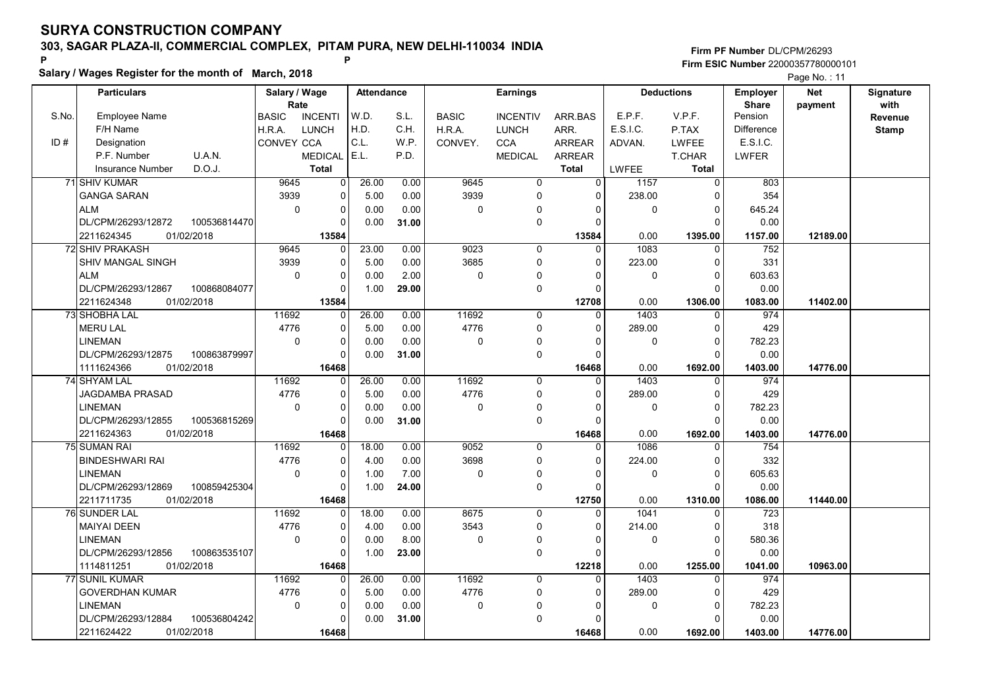Salary / Wages Register for the month of March, 2018

### Firm PF Number DL/CPM/26293 Firm ESIC Number <sup>22000357780000101</sup> P P

|       |                        |              |                   |                |            |       |              |                 |               |              |                   |                          | $\Gamma$ aye ive I    |                   |
|-------|------------------------|--------------|-------------------|----------------|------------|-------|--------------|-----------------|---------------|--------------|-------------------|--------------------------|-----------------------|-------------------|
|       | <b>Particulars</b>     |              | Salary / Wage     | Rate           | Attendance |       |              | <b>Earnings</b> |               |              | <b>Deductions</b> | Employer<br><b>Share</b> | <b>Net</b><br>payment | Signature<br>with |
| S.No. | <b>Employee Name</b>   |              | <b>BASIC</b>      | <b>INCENTI</b> | W.D.       | S.L.  | <b>BASIC</b> | <b>INCENTIV</b> | ARR.BAS       | E.P.F.       | V.P.F.            | Pension                  |                       | Revenue           |
|       | F/H Name               |              | H.R.A.            | <b>LUNCH</b>   | H.D.       | C.H.  | H.R.A.       | <b>LUNCH</b>    | ARR.          | E.S.I.C.     | P.TAX             | Difference               |                       | <b>Stamp</b>      |
| ID#   | Designation            |              | <b>CONVEY CCA</b> |                | C.L.       | W.P.  | CONVEY.      | <b>CCA</b>      | <b>ARREAR</b> | ADVAN.       | <b>LWFEE</b>      | E.S.I.C.                 |                       |                   |
|       | P.F. Number            | U.A.N.       |                   | <b>MEDICAL</b> | E.L.       | P.D.  |              | <b>MEDICAL</b>  | <b>ARREAR</b> |              | <b>T.CHAR</b>     | <b>LWFER</b>             |                       |                   |
|       | Insurance Number       | D.O.J.       |                   | <b>Total</b>   |            |       |              |                 | <b>Total</b>  | <b>LWFEE</b> | <b>Total</b>      |                          |                       |                   |
|       | 71 SHIV KUMAR          |              | 9645              | 0              | 26.00      | 0.00  | 9645         | $\overline{0}$  | $\Omega$      | 1157         | $\Omega$          | 803                      |                       |                   |
|       | <b>GANGA SARAN</b>     |              | 3939              | 0              | 5.00       | 0.00  | 3939         | 0               | $\Omega$      | 238.00       | $\Omega$          | 354                      |                       |                   |
|       | <b>ALM</b>             |              | $\mathbf 0$       | 0              | 0.00       | 0.00  | $\Omega$     | 0               | $\Omega$      | $\mathbf 0$  | $\mathbf 0$       | 645.24                   |                       |                   |
|       | DL/CPM/26293/12872     | 100536814470 |                   | 0              | 0.00       | 31.00 |              | 0               | $\Omega$      |              | $\mathbf 0$       | 0.00                     |                       |                   |
|       | 2211624345             | 01/02/2018   |                   | 13584          |            |       |              |                 | 13584         | 0.00         | 1395.00           | 1157.00                  | 12189.00              |                   |
|       | <b>72 SHIV PRAKASH</b> |              | 9645              |                | 23.00      | 0.00  | 9023         | $\Omega$        | $\Omega$      | 1083         | $\Omega$          | 752                      |                       |                   |
|       |                        |              |                   | 0              |            |       |              |                 |               |              |                   |                          |                       |                   |
|       | SHIV MANGAL SINGH      |              | 3939              | 0              | 5.00       | 0.00  | 3685         | 0               | $\Omega$      | 223.00       | $\mathbf 0$       | 331                      |                       |                   |
|       | ALM                    |              | 0                 | 0              | 0.00       | 2.00  | $\mathbf 0$  | 0               | $\Omega$      | 0            | $\pmb{0}$         | 603.63                   |                       |                   |
|       | DL/CPM/26293/12867     | 100868084077 |                   | 0              | 1.00       | 29.00 |              | 0               | $\Omega$      |              | $\Omega$          | 0.00                     |                       |                   |
|       | 2211624348             | 01/02/2018   |                   | 13584          |            |       |              |                 | 12708         | 0.00         | 1306.00           | 1083.00                  | 11402.00              |                   |
|       | <b>73 SHOBHA LAL</b>   |              | 11692             | $\Omega$       | 26.00      | 0.00  | 11692        | $\Omega$        | $\Omega$      | 1403         | $\Omega$          | 974                      |                       |                   |
|       | <b>MERU LAL</b>        |              | 4776              | 0              | 5.00       | 0.00  | 4776         | 0               | $\Omega$      | 289.00       | 0                 | 429                      |                       |                   |
|       | <b>LINEMAN</b>         |              | $\mathbf 0$       | 0              | 0.00       | 0.00  | $\mathbf 0$  | 0               | $\Omega$      | $\mathbf 0$  | $\mathbf 0$       | 782.23                   |                       |                   |
|       | DL/CPM/26293/12875     | 100863879997 |                   | $\Omega$       | 0.00       | 31.00 |              | 0               | $\Omega$      |              | $\Omega$          | 0.00                     |                       |                   |
|       | 1111624366             | 01/02/2018   |                   | 16468          |            |       |              |                 | 16468         | 0.00         | 1692.00           | 1403.00                  | 14776.00              |                   |
|       | 74 SHYAM LAL           |              | 11692             | 0              | 26.00      | 0.00  | 11692        | $\mathbf 0$     | $\Omega$      | 1403         | $\mathbf 0$       | 974                      |                       |                   |
|       | <b>JAGDAMBA PRASAD</b> |              | 4776              | 0              | 5.00       | 0.00  | 4776         | $\Omega$        | $\Omega$      | 289.00       | $\mathbf 0$       | 429                      |                       |                   |
|       | <b>LINEMAN</b>         |              | $\mathbf 0$       | 0              | 0.00       | 0.00  | $\Omega$     | 0               | $\Omega$      | $\mathbf{0}$ | $\mathbf 0$       | 782.23                   |                       |                   |
|       | DL/CPM/26293/12855     | 100536815269 |                   | $\Omega$       | 0.00       | 31.00 |              | $\Omega$        | $\Omega$      |              | $\Omega$          | 0.00                     |                       |                   |
|       | 2211624363             | 01/02/2018   |                   | 16468          |            |       |              |                 | 16468         | 0.00         | 1692.00           | 1403.00                  | 14776.00              |                   |
|       | 75 SUMAN RAI           |              | 11692             | $\Omega$       | 18.00      | 0.00  | 9052         | $\Omega$        | $\Omega$      | 1086         | $\Omega$          | 754                      |                       |                   |
|       | <b>BINDESHWARI RAI</b> |              | 4776              | $\Omega$       | 4.00       | 0.00  | 3698         | $\Omega$        | $\Omega$      | 224.00       | $\Omega$          | 332                      |                       |                   |
|       | <b>LINEMAN</b>         |              | $\mathbf 0$       | 0              | 1.00       | 7.00  | $\Omega$     | 0               | $\Omega$      | $\mathbf 0$  | $\mathbf 0$       | 605.63                   |                       |                   |
|       | DL/CPM/26293/12869     | 100859425304 |                   | 0              | 1.00       | 24.00 |              | 0               | $\Omega$      |              | $\mathbf 0$       | 0.00                     |                       |                   |
|       | 2211711735             | 01/02/2018   |                   | 16468          |            |       |              |                 | 12750         | 0.00         | 1310.00           | 1086.00                  | 11440.00              |                   |
|       | 76 SUNDER LAL          |              | 11692             | 0              | 18.00      | 0.00  | 8675         | 0               | $\Omega$      | 1041         | $\mathbf 0$       | 723                      |                       |                   |
|       | <b>MAIYAI DEEN</b>     |              | 4776              | 0              | 4.00       | 0.00  | 3543         | 0               | $\Omega$      | 214.00       | $\mathbf 0$       | 318                      |                       |                   |
|       | <b>LINEMAN</b>         |              | $\mathbf 0$       | 0              | 0.00       | 8.00  | $\mathbf 0$  | 0               | $\Omega$      | $\mathbf 0$  | 0                 | 580.36                   |                       |                   |
|       | DL/CPM/26293/12856     | 100863535107 |                   | 0              | 1.00       | 23.00 |              | 0               | $\Omega$      |              | $\Omega$          | 0.00                     |                       |                   |
|       | 1114811251             | 01/02/2018   |                   | 16468          |            |       |              |                 | 12218         | 0.00         | 1255.00           | 1041.00                  | 10963.00              |                   |
|       | 77 SUNIL KUMAR         |              | 11692             | $\Omega$       | 26.00      | 0.00  | 11692        | $\mathbf 0$     | 0             | 1403         | $\Omega$          | 974                      |                       |                   |
|       | <b>GOVERDHAN KUMAR</b> |              | 4776              | 0              | 5.00       | 0.00  | 4776         | 0               | 0             | 289.00       | 0                 | 429                      |                       |                   |
|       | <b>LINEMAN</b>         |              | $\mathbf 0$       | 0              | 0.00       | 0.00  | $\mathbf{0}$ | $\Omega$        | O             | 0            | $\mathbf 0$       | 782.23                   |                       |                   |
|       | DL/CPM/26293/12884     | 100536804242 |                   | $\Omega$       | 0.00       | 31.00 |              | 0               | $\Omega$      |              | $\Omega$          | 0.00                     |                       |                   |
|       | 2211624422             | 01/02/2018   |                   | 16468          |            |       |              |                 | 16468         | 0.00         | 1692.00           | 1403.00                  | 14776.00              |                   |
|       |                        |              |                   |                |            |       |              |                 |               |              |                   |                          |                       |                   |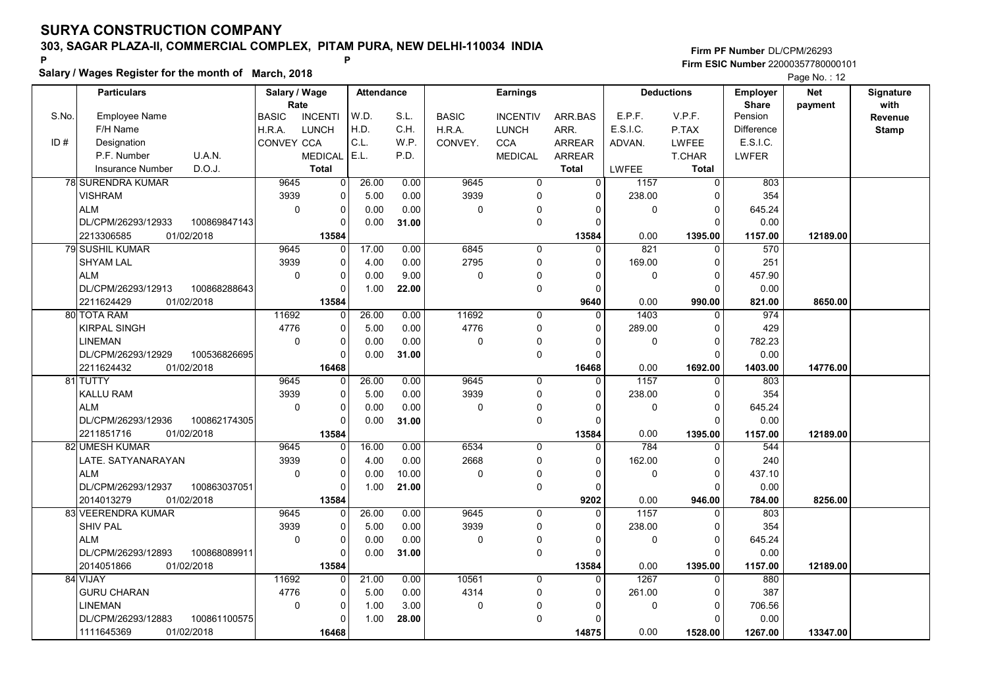Salary / Wages Register for the month of March, 2018

## Firm PF Number DL/CPM/26293 Firm ESIC Number <sup>22000357780000101</sup> P P

|       |                                   |              |                       |                |            |       |              |                 |               |              |                   |                          | <b>Faye NO.</b> 12    |                   |
|-------|-----------------------------------|--------------|-----------------------|----------------|------------|-------|--------------|-----------------|---------------|--------------|-------------------|--------------------------|-----------------------|-------------------|
|       | <b>Particulars</b>                |              | Salary / Wage<br>Rate |                | Attendance |       |              | <b>Earnings</b> |               |              | <b>Deductions</b> | Employer<br><b>Share</b> | <b>Net</b><br>payment | Signature<br>with |
| S.No. | <b>Employee Name</b>              |              | <b>BASIC</b>          | <b>INCENTI</b> | W.D.       | S.L.  | <b>BASIC</b> | <b>INCENTIV</b> | ARR.BAS       | E.P.F.       | V.P.F.            | Pension                  |                       | Revenue           |
|       | F/H Name                          |              | H.R.A.                | <b>LUNCH</b>   | H.D.       | C.H.  | H.R.A.       | <b>LUNCH</b>    | ARR.          | E.S.I.C.     | P.TAX             | Difference               |                       | <b>Stamp</b>      |
| ID#   | Designation                       |              | <b>CONVEY CCA</b>     |                | C.L.       | W.P.  | CONVEY.      | <b>CCA</b>      | <b>ARREAR</b> | ADVAN.       | <b>LWFEE</b>      | E.S.I.C.                 |                       |                   |
|       | P.F. Number<br>U.A.N.             |              |                       | <b>MEDICAL</b> | E.L.       | P.D.  |              | <b>MEDICAL</b>  | <b>ARREAR</b> |              | <b>T.CHAR</b>     | <b>LWFER</b>             |                       |                   |
|       | D.O.J.<br><b>Insurance Number</b> |              |                       | <b>Total</b>   |            |       |              |                 | <b>Total</b>  | <b>LWFEE</b> | <b>Total</b>      |                          |                       |                   |
|       | <b>78 SURENDRA KUMAR</b>          |              | 9645                  | 0              | 26.00      | 0.00  | 9645         | $\overline{0}$  | $\Omega$      | 1157         | $\Omega$          | 803                      |                       |                   |
|       | <b>VISHRAM</b>                    |              | 3939                  | $\Omega$       | 5.00       | 0.00  | 3939         | $\Omega$        | $\Omega$      | 238.00       | $\Omega$          | 354                      |                       |                   |
|       | <b>ALM</b>                        |              | $\mathbf 0$           | 0              | 0.00       | 0.00  | $\Omega$     | 0               | $\Omega$      | $\mathbf 0$  | $\mathbf 0$       | 645.24                   |                       |                   |
|       | DL/CPM/26293/12933                | 100869847143 |                       | 0              | 0.00       | 31.00 |              | 0               | $\Omega$      |              | $\mathbf 0$       | 0.00                     |                       |                   |
|       | 01/02/2018<br>2213306585          |              |                       | 13584          |            |       |              |                 | 13584         | 0.00         | 1395.00           | 1157.00                  | 12189.00              |                   |
|       | 79 SUSHIL KUMAR                   |              | 9645                  | 0              | 17.00      | 0.00  | 6845         | $\Omega$        | $\Omega$      | 821          | $\Omega$          | 570                      |                       |                   |
|       | <b>SHYAM LAL</b>                  |              | 3939                  | 0              | 4.00       | 0.00  | 2795         | 0               | $\Omega$      | 169.00       | $\Omega$          | 251                      |                       |                   |
|       | ALM                               |              | 0                     | 0              | 0.00       | 9.00  | 0            | 0               | 0             | 0            | $\pmb{0}$         | 457.90                   |                       |                   |
|       | DL/CPM/26293/12913                | 100868288643 |                       | 0              | 1.00       | 22.00 |              | 0               | $\Omega$      |              | $\Omega$          | 0.00                     |                       |                   |
|       | 01/02/2018<br>2211624429          |              |                       | 13584          |            |       |              |                 | 9640          | 0.00         | 990.00            | 821.00                   | 8650.00               |                   |
|       | 80 TOTA RAM                       |              | 11692                 | $\Omega$       | 26.00      | 0.00  | 11692        | $\Omega$        | $\Omega$      | 1403         | $\Omega$          | 974                      |                       |                   |
|       | <b>KIRPAL SINGH</b>               |              | 4776                  | 0              | 5.00       | 0.00  | 4776         | 0               | $\Omega$      | 289.00       | $\mathbf 0$       | 429                      |                       |                   |
|       | <b>LINEMAN</b>                    |              | $\mathbf 0$           | 0              | 0.00       | 0.00  | $\mathbf 0$  | $\Omega$        | $\Omega$      | $\mathbf 0$  | $\mathbf 0$       | 782.23                   |                       |                   |
|       | DL/CPM/26293/12929                | 100536826695 |                       | $\Omega$       | 0.00       | 31.00 |              | 0               | $\Omega$      |              | $\Omega$          | 0.00                     |                       |                   |
|       | 2211624432<br>01/02/2018          |              |                       | 16468          |            |       |              |                 | 16468         | 0.00         | 1692.00           | 1403.00                  | 14776.00              |                   |
|       | 81 TUTTY                          |              | 9645                  | 0              | 26.00      | 0.00  | 9645         | $\mathbf 0$     | $\Omega$      | 1157         | $\mathbf 0$       | 803                      |                       |                   |
|       | <b>KALLU RAM</b>                  |              | 3939                  | 0              | 5.00       | 0.00  | 3939         | $\Omega$        | $\Omega$      | 238.00       | $\mathbf 0$       | 354                      |                       |                   |
|       | <b>ALM</b>                        |              | $\mathbf 0$           | 0              | 0.00       | 0.00  | $\Omega$     | 0               | $\Omega$      | $\mathbf{0}$ | $\Omega$          | 645.24                   |                       |                   |
|       | DL/CPM/26293/12936                | 100862174305 |                       | $\Omega$       | 0.00       | 31.00 |              | $\Omega$        | $\Omega$      |              | $\Omega$          | 0.00                     |                       |                   |
|       | 2211851716<br>01/02/2018          |              |                       | 13584          |            |       |              |                 | 13584         | 0.00         | 1395.00           | 1157.00                  | 12189.00              |                   |
|       | 82 UMESH KUMAR                    |              | 9645                  | $\Omega$       | 16.00      | 0.00  | 6534         | $\Omega$        | $\Omega$      | 784          | $\Omega$          | 544                      |                       |                   |
|       | LATE. SATYANARAYAN                |              | 3939                  | $\Omega$       | 4.00       | 0.00  | 2668         | $\Omega$        | $\Omega$      | 162.00       | $\Omega$          | 240                      |                       |                   |
|       | <b>ALM</b>                        |              | $\mathbf 0$           | 0              | 0.00       | 10.00 | $\Omega$     | $\mathbf 0$     | $\Omega$      | $\Omega$     | $\mathbf 0$       | 437.10                   |                       |                   |
|       | DL/CPM/26293/12937                | 100863037051 |                       | 0              | 1.00       | 21.00 |              | 0               | $\Omega$      |              | $\mathbf 0$       | 0.00                     |                       |                   |
|       | 2014013279<br>01/02/2018          |              |                       | 13584          |            |       |              |                 | 9202          | 0.00         | 946.00            | 784.00                   | 8256.00               |                   |
|       | 83 VEERENDRA KUMAR                |              | 9645                  | 0              | 26.00      | 0.00  | 9645         | 0               | $\Omega$      | 1157         | 0                 | 803                      |                       |                   |
|       | <b>SHIV PAL</b>                   |              | 3939                  | 0              | 5.00       | 0.00  | 3939         | 0               | $\Omega$      | 238.00       | $\mathbf 0$       | 354                      |                       |                   |
|       | <b>ALM</b>                        |              | $\mathbf 0$           | 0              | 0.00       | 0.00  | 0            | 0               | $\Omega$      | $\mathbf 0$  | 0                 | 645.24                   |                       |                   |
|       | DL/CPM/26293/12893                | 100868089911 |                       | $\Omega$       | 0.00       | 31.00 |              | 0               | $\Omega$      |              | $\Omega$          | 0.00                     |                       |                   |
|       | 01/02/2018<br>2014051866          |              |                       | 13584          |            |       |              |                 | 13584         | 0.00         | 1395.00           | 1157.00                  | 12189.00              |                   |
|       | 84 VIJAY                          |              | 11692                 | 0              | 21.00      | 0.00  | 10561        | $\mathbf 0$     | 0             | 1267         | $\Omega$          | 880                      |                       |                   |
|       | <b>GURU CHARAN</b>                |              | 4776                  | 0              | 5.00       | 0.00  | 4314         | 0               | 0             | 261.00       | 0                 | 387                      |                       |                   |
|       | <b>LINEMAN</b>                    |              | $\Omega$              | 0              | 1.00       | 3.00  | $\mathbf{0}$ | $\Omega$        | O             | 0            | $\mathbf 0$       | 706.56                   |                       |                   |
|       | DL/CPM/26293/12883                | 100861100575 |                       | $\Omega$       | 1.00       | 28.00 |              | 0               | $\Omega$      |              | $\Omega$          | 0.00                     |                       |                   |
|       | 1111645369<br>01/02/2018          |              |                       | 16468          |            |       |              |                 | 14875         | 0.00         | 1528.00           | 1267.00                  | 13347.00              |                   |
|       |                                   |              |                       |                |            |       |              |                 |               |              |                   |                          |                       |                   |